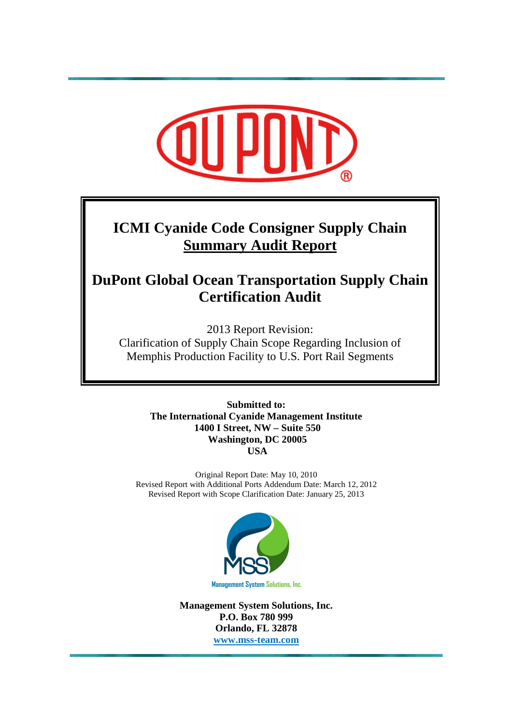# **ICMI Cyanide Code Consigner Supply Chain Summary Audit Report**

# **DuPont Global Ocean Transportation Supply Chain Certification Audit**

2013 Report Revision: Clarification of Supply Chain Scope Regarding Inclusion of Memphis Production Facility to U.S. Port Rail Segments

> **Submitted to: The International Cyanide Management Institute 1400 I Street, NW – Suite 550 Washington, DC 20005 USA**

Original Report Date: May 10, 2010 Revised Report with Additional Ports Addendum Date: March 12, 2012 Revised Report with Scope Clarification Date: January 25, 2013



**Management System Solutions, Inc. P.O. Box 780 999 Orlando, FL 32878 www.mss-team.com**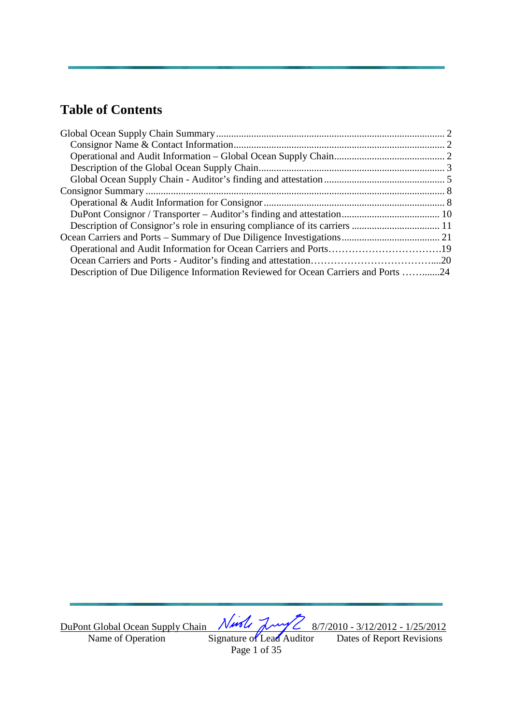# **Table of Contents**

| Description of Due Diligence Information Reviewed for Ocean Carriers and Ports 24 |  |
|-----------------------------------------------------------------------------------|--|
|                                                                                   |  |
|                                                                                   |  |
|                                                                                   |  |
|                                                                                   |  |
|                                                                                   |  |
|                                                                                   |  |
|                                                                                   |  |
|                                                                                   |  |
|                                                                                   |  |
|                                                                                   |  |
|                                                                                   |  |
|                                                                                   |  |

<u>DuPont Global Ocean Supply Chain (VAMC AMY C 8/7/2010 - 3/12/2012 - 1/25/2012</u>

Name of Operation Signature of Lead Auditor Dates of Report Revisions Page 1 of 35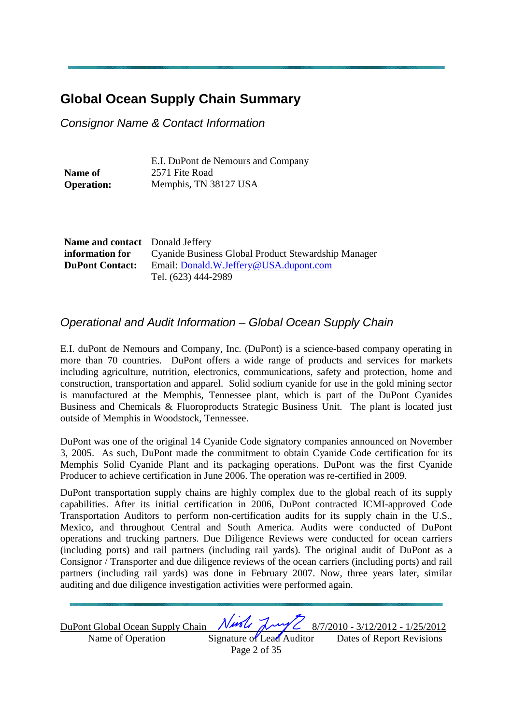# **Global Ocean Supply Chain Summary**

Consignor Name & Contact Information

**Name of Operation:**  E.I. DuPont de Nemours and Company 2571 Fite Road Memphis, TN 38127 USA

| <b>Name and contact</b> Donald Jeffery |                                                     |
|----------------------------------------|-----------------------------------------------------|
| information for                        | Cyanide Business Global Product Stewardship Manager |
| <b>DuPont Contact:</b>                 | Email: Donald.W.Jeffery@USA.dupont.com              |
|                                        | Tel. (623) 444-2989                                 |

# Operational and Audit Information – Global Ocean Supply Chain

E.I. duPont de Nemours and Company, Inc. (DuPont) is a science-based company operating in more than 70 countries. DuPont offers a wide range of products and services for markets including agriculture, nutrition, electronics, communications, safety and protection, home and construction, transportation and apparel. Solid sodium cyanide for use in the gold mining sector is manufactured at the Memphis, Tennessee plant, which is part of the DuPont Cyanides Business and Chemicals & Fluoroproducts Strategic Business Unit. The plant is located just outside of Memphis in Woodstock, Tennessee.

DuPont was one of the original 14 Cyanide Code signatory companies announced on November 3, 2005. As such, DuPont made the commitment to obtain Cyanide Code certification for its Memphis Solid Cyanide Plant and its packaging operations. DuPont was the first Cyanide Producer to achieve certification in June 2006. The operation was re-certified in 2009.

DuPont transportation supply chains are highly complex due to the global reach of its supply capabilities. After its initial certification in 2006, DuPont contracted ICMI-approved Code Transportation Auditors to perform non-certification audits for its supply chain in the U.S., Mexico, and throughout Central and South America. Audits were conducted of DuPont operations and trucking partners. Due Diligence Reviews were conducted for ocean carriers (including ports) and rail partners (including rail yards). The original audit of DuPont as a Consignor / Transporter and due diligence reviews of the ocean carriers (including ports) and rail partners (including rail yards) was done in February 2007. Now, three years later, similar auditing and due diligence investigation activities were performed again.

DuPont Global Ocean Supply Chain Nurse 18/7/2010 - 3/12/2012 - 1/25/2012<br>Name of Operation Signature of Lead Auditor Dates of Report Revisions Name of Operation Signature of Lead Auditor Page 2 of 35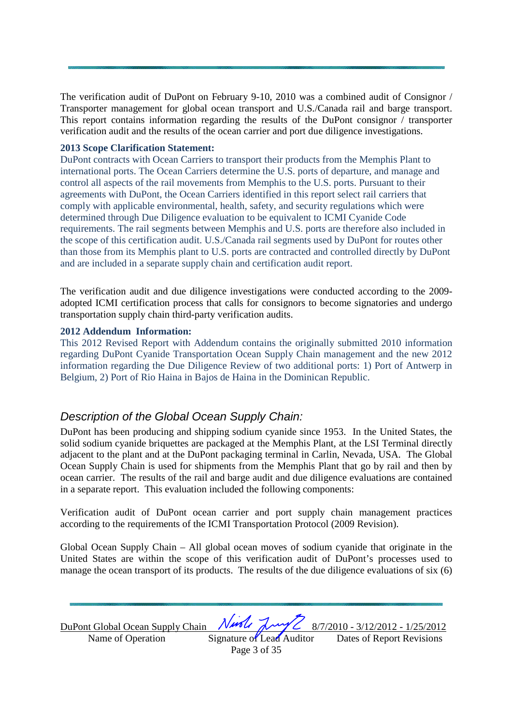The verification audit of DuPont on February 9-10, 2010 was a combined audit of Consignor / Transporter management for global ocean transport and U.S./Canada rail and barge transport. This report contains information regarding the results of the DuPont consignor / transporter verification audit and the results of the ocean carrier and port due diligence investigations.

#### **2013 Scope Clarification Statement:**

DuPont contracts with Ocean Carriers to transport their products from the Memphis Plant to international ports. The Ocean Carriers determine the U.S. ports of departure, and manage and control all aspects of the rail movements from Memphis to the U.S. ports. Pursuant to their agreements with DuPont, the Ocean Carriers identified in this report select rail carriers that comply with applicable environmental, health, safety, and security regulations which were determined through Due Diligence evaluation to be equivalent to ICMI Cyanide Code requirements. The rail segments between Memphis and U.S. ports are therefore also included in the scope of this certification audit. U.S./Canada rail segments used by DuPont for routes other than those from its Memphis plant to U.S. ports are contracted and controlled directly by DuPont and are included in a separate supply chain and certification audit report.

The verification audit and due diligence investigations were conducted according to the 2009 adopted ICMI certification process that calls for consignors to become signatories and undergo transportation supply chain third-party verification audits.

#### **2012 Addendum Information:**

This 2012 Revised Report with Addendum contains the originally submitted 2010 information regarding DuPont Cyanide Transportation Ocean Supply Chain management and the new 2012 information regarding the Due Diligence Review of two additional ports: 1) Port of Antwerp in Belgium, 2) Port of Rio Haina in Bajos de Haina in the Dominican Republic.

## Description of the Global Ocean Supply Chain:

DuPont has been producing and shipping sodium cyanide since 1953. In the United States, the solid sodium cyanide briquettes are packaged at the Memphis Plant, at the LSI Terminal directly adjacent to the plant and at the DuPont packaging terminal in Carlin, Nevada, USA. The Global Ocean Supply Chain is used for shipments from the Memphis Plant that go by rail and then by ocean carrier. The results of the rail and barge audit and due diligence evaluations are contained in a separate report. This evaluation included the following components:

Verification audit of DuPont ocean carrier and port supply chain management practices according to the requirements of the ICMI Transportation Protocol (2009 Revision).

Global Ocean Supply Chain – All global ocean moves of sodium cyanide that originate in the United States are within the scope of this verification audit of DuPont's processes used to manage the ocean transport of its products. The results of the due diligence evaluations of six (6)

| DuPont Global Ocean Supply Chain Night Low 2 8/7/2010 - 3/12/2012 - 1/25/2012 |                           |                           |
|-------------------------------------------------------------------------------|---------------------------|---------------------------|
| Name of Operation                                                             | Signature of Lead Auditor | Dates of Report Revisions |
|                                                                               | Page 3 of 35              |                           |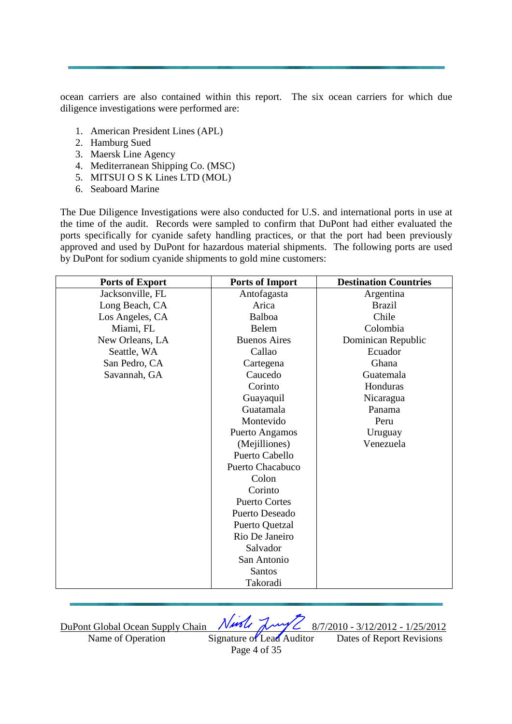ocean carriers are also contained within this report. The six ocean carriers for which due diligence investigations were performed are:

- 1. American President Lines (APL)
- 2. Hamburg Sued
- 3. Maersk Line Agency
- 4. Mediterranean Shipping Co. (MSC)
- 5. MITSUI O S K Lines LTD (MOL)
- 6. Seaboard Marine

The Due Diligence Investigations were also conducted for U.S. and international ports in use at the time of the audit. Records were sampled to confirm that DuPont had either evaluated the ports specifically for cyanide safety handling practices, or that the port had been previously approved and used by DuPont for hazardous material shipments. The following ports are used by DuPont for sodium cyanide shipments to gold mine customers:

| <b>Ports of Export</b> | <b>Ports of Import</b> | <b>Destination Countries</b> |
|------------------------|------------------------|------------------------------|
| Jacksonville, FL       | Antofagasta            | Argentina                    |
| Long Beach, CA         | Arica                  | <b>Brazil</b>                |
| Los Angeles, CA        | Balboa                 | Chile                        |
| Miami, FL              | Belem                  | Colombia                     |
| New Orleans, LA        | <b>Buenos Aires</b>    | Dominican Republic           |
| Seattle, WA            | Callao                 | Ecuador                      |
| San Pedro, CA          | Cartegena              | Ghana                        |
| Savannah, GA           | Caucedo                | Guatemala                    |
|                        | Corinto                | Honduras                     |
|                        | Guayaquil              | Nicaragua                    |
|                        | Guatamala              | Panama                       |
|                        | Montevido              | Peru                         |
|                        | Puerto Angamos         | Uruguay                      |
|                        | (Mejilliones)          | Venezuela                    |
|                        | Puerto Cabello         |                              |
|                        | Puerto Chacabuco       |                              |
|                        | Colon                  |                              |
|                        | Corinto                |                              |
|                        | <b>Puerto Cortes</b>   |                              |
|                        | <b>Puerto Deseado</b>  |                              |
|                        | Puerto Quetzal         |                              |
|                        | Rio De Janeiro         |                              |
|                        | Salvador               |                              |
|                        | San Antonio            |                              |
|                        | <b>Santos</b>          |                              |
|                        | Takoradi               |                              |

DuPont Global Ocean Supply Chain Nurse 8/7/2010 - 3/12/2012 - 1/25/2012<br>Name of Operation Signature of Lead Auditor Dates of Report Revisions

Signature of Lead Auditor Page 4 of 35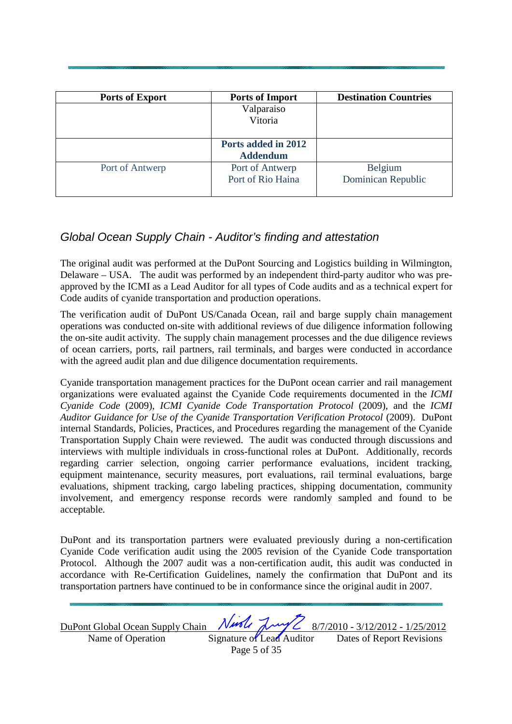| <b>Ports of Export</b> | <b>Ports of Import</b>                 | <b>Destination Countries</b>         |
|------------------------|----------------------------------------|--------------------------------------|
|                        | Valparaiso<br>Vitoria                  |                                      |
|                        | Ports added in 2012<br><b>Addendum</b> |                                      |
| Port of Antwerp        | Port of Antwerp<br>Port of Rio Haina   | <b>Belgium</b><br>Dominican Republic |

# Global Ocean Supply Chain - Auditor's finding and attestation

The original audit was performed at the DuPont Sourcing and Logistics building in Wilmington, Delaware – USA. The audit was performed by an independent third-party auditor who was preapproved by the ICMI as a Lead Auditor for all types of Code audits and as a technical expert for Code audits of cyanide transportation and production operations.

The verification audit of DuPont US/Canada Ocean, rail and barge supply chain management operations was conducted on-site with additional reviews of due diligence information following the on-site audit activity. The supply chain management processes and the due diligence reviews of ocean carriers, ports, rail partners, rail terminals, and barges were conducted in accordance with the agreed audit plan and due diligence documentation requirements.

Cyanide transportation management practices for the DuPont ocean carrier and rail management organizations were evaluated against the Cyanide Code requirements documented in the *ICMI Cyanide Code* (2009), *ICMI Cyanide Code Transportation Protocol* (2009), and the *ICMI Auditor Guidance for Use of the Cyanide Transportation Verification Protocol* (2009). DuPont internal Standards, Policies, Practices, and Procedures regarding the management of the Cyanide Transportation Supply Chain were reviewed. The audit was conducted through discussions and interviews with multiple individuals in cross-functional roles at DuPont. Additionally, records regarding carrier selection, ongoing carrier performance evaluations, incident tracking, equipment maintenance, security measures, port evaluations, rail terminal evaluations, barge evaluations, shipment tracking, cargo labeling practices, shipping documentation, community involvement, and emergency response records were randomly sampled and found to be acceptable.

DuPont and its transportation partners were evaluated previously during a non-certification Cyanide Code verification audit using the 2005 revision of the Cyanide Code transportation Protocol. Although the 2007 audit was a non-certification audit, this audit was conducted in accordance with Re-Certification Guidelines, namely the confirmation that DuPont and its transportation partners have continued to be in conformance since the original audit in 2007.

 $\underline{\text{DuPont Global Ocean Supply Chain}} \overline{\text{Nwell} \overline{\text{Muy}} \overline{\text{R37/2010 - 3/12/2012 - 1/25/2012}}}$ Name of Operation Signature of Lead Auditor Dates of Report Revisions Name of Operation Signature of Lead Auditor Dates of Report Revisions Page 5 of 35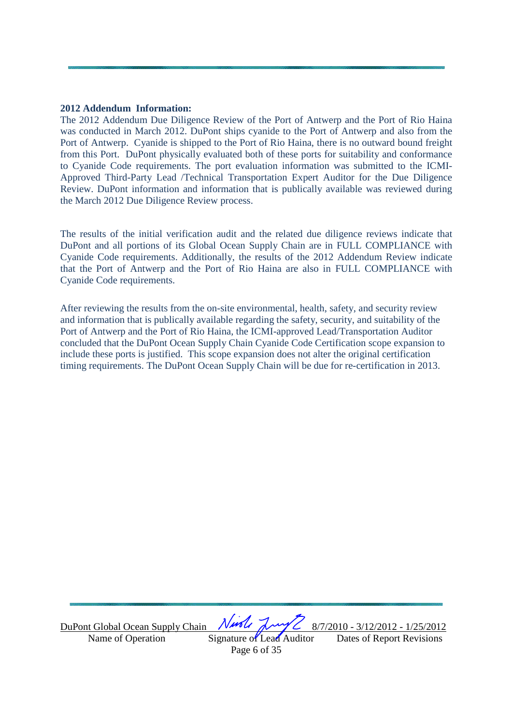#### **2012 Addendum Information:**

The 2012 Addendum Due Diligence Review of the Port of Antwerp and the Port of Rio Haina was conducted in March 2012. DuPont ships cyanide to the Port of Antwerp and also from the Port of Antwerp. Cyanide is shipped to the Port of Rio Haina, there is no outward bound freight from this Port. DuPont physically evaluated both of these ports for suitability and conformance to Cyanide Code requirements. The port evaluation information was submitted to the ICMI-Approved Third-Party Lead /Technical Transportation Expert Auditor for the Due Diligence Review. DuPont information and information that is publically available was reviewed during the March 2012 Due Diligence Review process.

The results of the initial verification audit and the related due diligence reviews indicate that DuPont and all portions of its Global Ocean Supply Chain are in FULL COMPLIANCE with Cyanide Code requirements. Additionally, the results of the 2012 Addendum Review indicate that the Port of Antwerp and the Port of Rio Haina are also in FULL COMPLIANCE with Cyanide Code requirements.

After reviewing the results from the on-site environmental, health, safety, and security review and information that is publically available regarding the safety, security, and suitability of the Port of Antwerp and the Port of Rio Haina, the ICMI-approved Lead/Transportation Auditor concluded that the DuPont Ocean Supply Chain Cyanide Code Certification scope expansion to include these ports is justified. This scope expansion does not alter the original certification timing requirements. The DuPont Ocean Supply Chain will be due for re-certification in 2013.

DuPont Global Ocean Supply Chain  $Nurbl$   $\lambda$ wy  $Z$  8/7/2010 - 3/12/2012 - 1/25/2012

Name of Operation Signature of Lead Auditor Dates of Report Revisions Page 6 of 35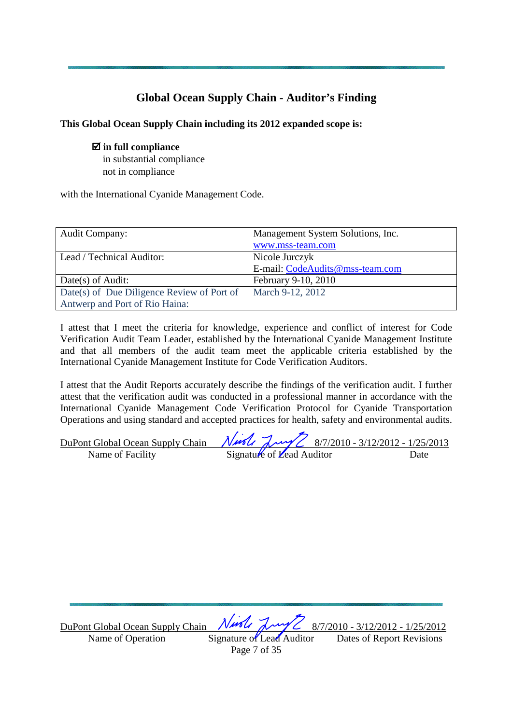# **Global Ocean Supply Chain - Auditor's Finding**

**This Global Ocean Supply Chain including its 2012 expanded scope is:** 

### **in full compliance**

 in substantial compliance not in compliance

with the International Cyanide Management Code.

| <b>Audit Company:</b>                      | Management System Solutions, Inc. |
|--------------------------------------------|-----------------------------------|
|                                            | www.mss-team.com                  |
| Lead / Technical Auditor:                  | Nicole Jurczyk                    |
|                                            | E-mail: CodeAudits@mss-team.com   |
| Date(s) of Audit:                          | February 9-10, 2010               |
| Date(s) of Due Diligence Review of Port of | March 9-12, 2012                  |
| Antwerp and Port of Rio Haina:             |                                   |

I attest that I meet the criteria for knowledge, experience and conflict of interest for Code Verification Audit Team Leader, established by the International Cyanide Management Institute and that all members of the audit team meet the applicable criteria established by the International Cyanide Management Institute for Code Verification Auditors.

I attest that the Audit Reports accurately describe the findings of the verification audit. I further attest that the verification audit was conducted in a professional manner in accordance with the International Cyanide Management Code Verification Protocol for Cyanide Transportation Operations and using standard and accepted practices for health, safety and environmental audits.

| DuPont Global Ocean Supply Chain | 125/2013 Nurste 2010-3/12/2012-1/25/2013 |      |
|----------------------------------|------------------------------------------|------|
| Name of Facility                 | Signature of Lead Auditor                | Date |

 $\underline{\text{DuPont Global Ocean Supply Chain}} \overbrace{\text{Numel}} \overbrace{\text{Mumel}} \overbrace{\text{8/7/2010 - 3/12/2012 - 1/25/2012}}^{\text{DuPont Global Ocean Supply Chain}}$ 

Name of Operation Signature of Lead Auditor Page 7 of 35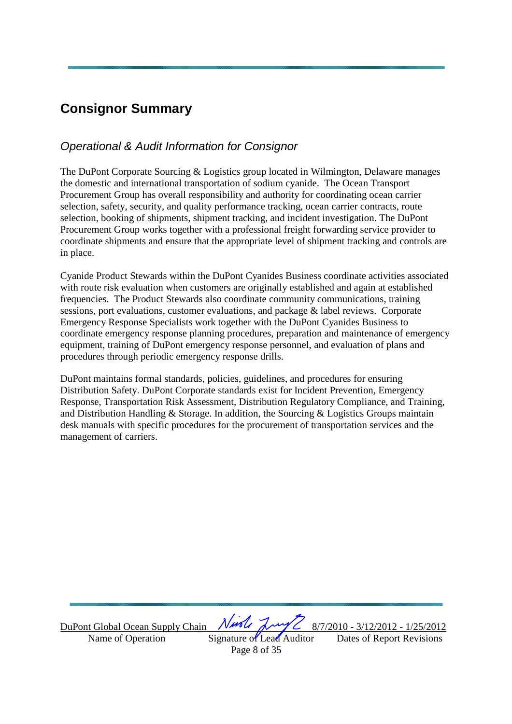# **Consignor Summary**

# Operational & Audit Information for Consignor

The DuPont Corporate Sourcing & Logistics group located in Wilmington, Delaware manages the domestic and international transportation of sodium cyanide. The Ocean Transport Procurement Group has overall responsibility and authority for coordinating ocean carrier selection, safety, security, and quality performance tracking, ocean carrier contracts, route selection, booking of shipments, shipment tracking, and incident investigation. The DuPont Procurement Group works together with a professional freight forwarding service provider to coordinate shipments and ensure that the appropriate level of shipment tracking and controls are in place.

Cyanide Product Stewards within the DuPont Cyanides Business coordinate activities associated with route risk evaluation when customers are originally established and again at established frequencies. The Product Stewards also coordinate community communications, training sessions, port evaluations, customer evaluations, and package & label reviews. Corporate Emergency Response Specialists work together with the DuPont Cyanides Business to coordinate emergency response planning procedures, preparation and maintenance of emergency equipment, training of DuPont emergency response personnel, and evaluation of plans and procedures through periodic emergency response drills.

DuPont maintains formal standards, policies, guidelines, and procedures for ensuring Distribution Safety. DuPont Corporate standards exist for Incident Prevention, Emergency Response, Transportation Risk Assessment, Distribution Regulatory Compliance, and Training, and Distribution Handling & Storage. In addition, the Sourcing & Logistics Groups maintain desk manuals with specific procedures for the procurement of transportation services and the management of carriers.

<u>DuPont Global Ocean Supply Chain (VAMC AMY C 8/7/2010 - 3/12/2012 - 1/25/2012</u>

Name of Operation Signature of Lead Auditor Dates of Report Revisions Page 8 of 35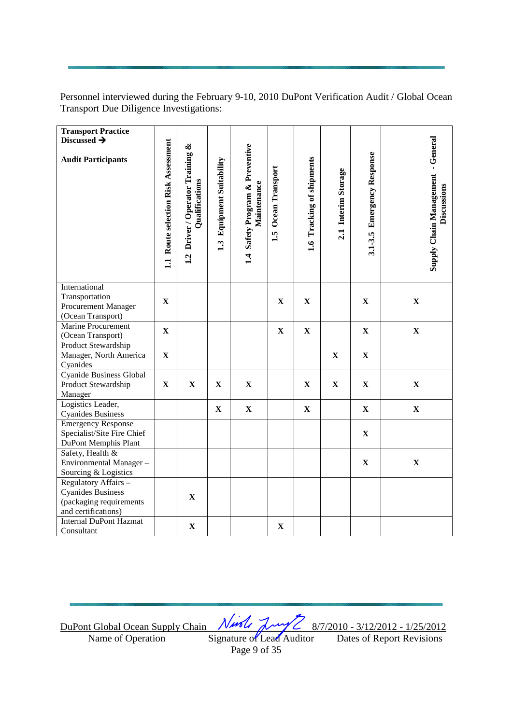Personnel interviewed during the February 9-10, 2010 DuPont Verification Audit / Global Ocean Transport Due Diligence Investigations:

| <b>Transport Practice</b>      |                                                   |                                                    |                                     |                                                |                        |                           |                     |                                      |                                   |             |
|--------------------------------|---------------------------------------------------|----------------------------------------------------|-------------------------------------|------------------------------------------------|------------------------|---------------------------|---------------------|--------------------------------------|-----------------------------------|-------------|
| Discussed $\rightarrow$        |                                                   |                                                    |                                     |                                                |                        |                           |                     |                                      |                                   |             |
|                                |                                                   |                                                    |                                     |                                                |                        |                           |                     |                                      |                                   |             |
| <b>Audit Participants</b>      | Route selection Risk Assessment<br>$\overline{z}$ | 1.2 Driver / Operator Training &<br>Qualifications | <b>Equipment Suitability</b><br>1.3 | 1.4 Safety Program & Preventive<br>Maintenance | Ocean Transport<br>1.5 | 1.6 Tracking of shipments | 2.1 Interim Storage | <b>Emergency Response</b><br>3.1-3.5 | Supply Chain Management - General | Discussions |
| International                  |                                                   |                                                    |                                     |                                                |                        |                           |                     |                                      |                                   |             |
| Transportation                 |                                                   |                                                    |                                     |                                                |                        |                           |                     |                                      |                                   |             |
| Procurement Manager            | $\mathbf X$                                       |                                                    |                                     |                                                | $\mathbf X$            | $\mathbf X$               |                     | $\mathbf X$                          | $\mathbf X$                       |             |
| (Ocean Transport)              |                                                   |                                                    |                                     |                                                |                        |                           |                     |                                      |                                   |             |
| Marine Procurement             |                                                   |                                                    |                                     |                                                |                        |                           |                     |                                      |                                   |             |
| (Ocean Transport)              | $\mathbf X$                                       |                                                    |                                     |                                                | $\mathbf X$            | $\mathbf X$               |                     | $\mathbf X$                          | $\mathbf X$                       |             |
| <b>Product Stewardship</b>     |                                                   |                                                    |                                     |                                                |                        |                           |                     |                                      |                                   |             |
| Manager, North America         | $\mathbf X$                                       |                                                    |                                     |                                                |                        |                           | $\mathbf X$         | $\mathbf X$                          |                                   |             |
| Cyanides                       |                                                   |                                                    |                                     |                                                |                        |                           |                     |                                      |                                   |             |
| <b>Cyanide Business Global</b> |                                                   |                                                    |                                     |                                                |                        |                           |                     |                                      |                                   |             |
| Product Stewardship            | $\mathbf X$                                       | $\mathbf X$                                        | $\mathbf X$                         | $\mathbf X$                                    |                        | $\mathbf X$               | $\mathbf X$         | $\mathbf X$                          | $\mathbf X$                       |             |
| Manager                        |                                                   |                                                    |                                     |                                                |                        |                           |                     |                                      |                                   |             |
| Logistics Leader,              |                                                   |                                                    | $\mathbf X$                         | $\mathbf X$                                    |                        | $\mathbf X$               |                     | $\mathbf X$                          | $\mathbf X$                       |             |
| <b>Cyanides Business</b>       |                                                   |                                                    |                                     |                                                |                        |                           |                     |                                      |                                   |             |
| <b>Emergency Response</b>      |                                                   |                                                    |                                     |                                                |                        |                           |                     |                                      |                                   |             |
| Specialist/Site Fire Chief     |                                                   |                                                    |                                     |                                                |                        |                           |                     | $\mathbf X$                          |                                   |             |
| DuPont Memphis Plant           |                                                   |                                                    |                                     |                                                |                        |                           |                     |                                      |                                   |             |
| Safety, Health &               |                                                   |                                                    |                                     |                                                |                        |                           |                     |                                      |                                   |             |
| Environmental Manager-         |                                                   |                                                    |                                     |                                                |                        |                           |                     | $\mathbf X$                          | $\mathbf X$                       |             |
| Sourcing & Logistics           |                                                   |                                                    |                                     |                                                |                        |                           |                     |                                      |                                   |             |
| Regulatory Affairs -           |                                                   |                                                    |                                     |                                                |                        |                           |                     |                                      |                                   |             |
| <b>Cyanides Business</b>       |                                                   | $\mathbf X$                                        |                                     |                                                |                        |                           |                     |                                      |                                   |             |
| (packaging requirements        |                                                   |                                                    |                                     |                                                |                        |                           |                     |                                      |                                   |             |
| and certifications)            |                                                   |                                                    |                                     |                                                |                        |                           |                     |                                      |                                   |             |
| <b>Internal DuPont Hazmat</b>  |                                                   | $\mathbf X$                                        |                                     |                                                | $\mathbf X$            |                           |                     |                                      |                                   |             |
| Consultant                     |                                                   |                                                    |                                     |                                                |                        |                           |                     |                                      |                                   |             |

<u>DuPont Global Ocean Supply Chain (VAMC AMY C 8/7/2010 - 3/12/2012 - 1/25/2012</u>

Page 9 of 35

Name of Operation Signature of Lead Auditor Dates of Report Revisions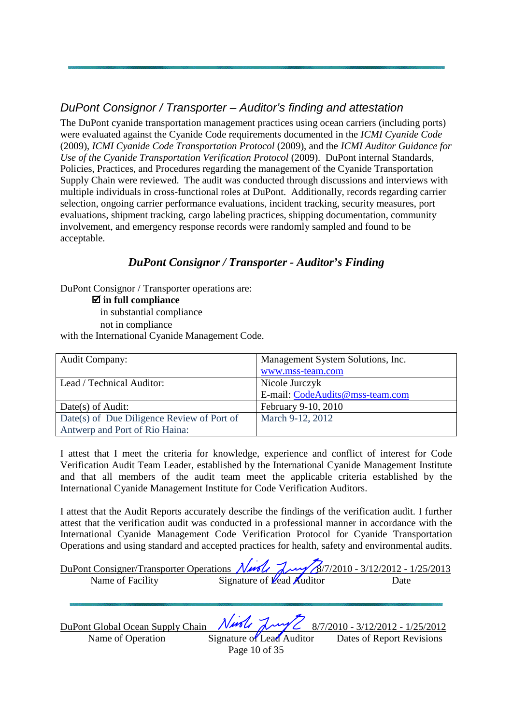# DuPont Consignor / Transporter – Auditor's finding and attestation

The DuPont cyanide transportation management practices using ocean carriers (including ports) were evaluated against the Cyanide Code requirements documented in the *ICMI Cyanide Code* (2009), *ICMI Cyanide Code Transportation Protocol* (2009), and the *ICMI Auditor Guidance for Use of the Cyanide Transportation Verification Protocol* (2009). DuPont internal Standards, Policies, Practices, and Procedures regarding the management of the Cyanide Transportation Supply Chain were reviewed. The audit was conducted through discussions and interviews with multiple individuals in cross-functional roles at DuPont. Additionally, records regarding carrier selection, ongoing carrier performance evaluations, incident tracking, security measures, port evaluations, shipment tracking, cargo labeling practices, shipping documentation, community involvement, and emergency response records were randomly sampled and found to be acceptable.

# *DuPont Consignor / Transporter - Auditor's Finding*

DuPont Consignor / Transporter operations are:

 **in full compliance**  in substantial compliance not in compliance with the International Cyanide Management Code.

| <b>Audit Company:</b>                      | Management System Solutions, Inc. |
|--------------------------------------------|-----------------------------------|
|                                            | www.mss-team.com                  |
| Lead / Technical Auditor:                  | Nicole Jurczyk                    |
|                                            | E-mail: CodeAudits@mss-team.com   |
| $Date(s)$ of Audit:                        | February 9-10, 2010               |
| Date(s) of Due Diligence Review of Port of | March 9-12, 2012                  |
| Antwerp and Port of Rio Haina:             |                                   |

I attest that I meet the criteria for knowledge, experience and conflict of interest for Code Verification Audit Team Leader, established by the International Cyanide Management Institute and that all members of the audit team meet the applicable criteria established by the International Cyanide Management Institute for Code Verification Auditors.

I attest that the Audit Reports accurately describe the findings of the verification audit. I further attest that the verification audit was conducted in a professional manner in accordance with the International Cyanide Management Code Verification Protocol for Cyanide Transportation Operations and using standard and accepted practices for health, safety and environmental audits.

| DuPont Consigner/Transporter Operations Night Lury 8/7/2010 - 3/12/2012 - 1/25/2013 |                                        |      |
|-------------------------------------------------------------------------------------|----------------------------------------|------|
| Name of Facility                                                                    | Signature of $\mathcal{V}$ ead Auditor | Date |

| DuPont Global Ocean Supply Chain |                           |  | Nurle Luy 2 8/7/2010-3/12/2012-1/25/2012 |
|----------------------------------|---------------------------|--|------------------------------------------|
| Name of Operation                | Signature of Lead Auditor |  | Dates of Report Revisions                |
|                                  | Page 10 of 35             |  |                                          |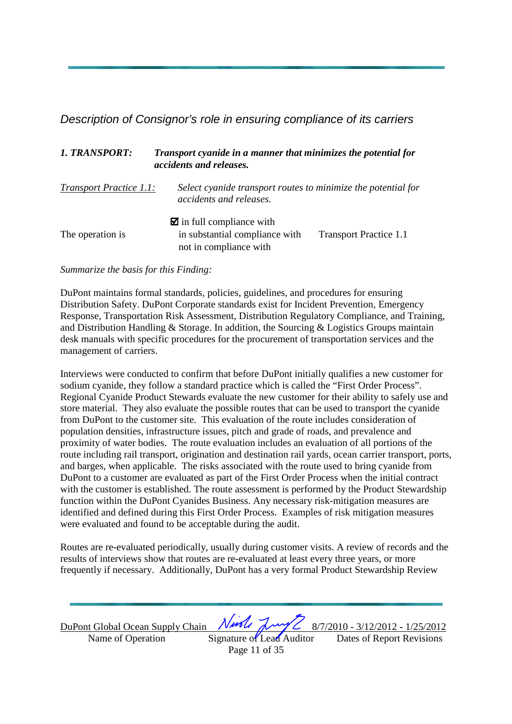Description of Consignor's role in ensuring compliance of its carriers

| <b>1. TRANSPORT:</b>           | Transport cyanide in a manner that minimizes the potential for<br>accidents and releases.          |                               |  |  |
|--------------------------------|----------------------------------------------------------------------------------------------------|-------------------------------|--|--|
| <b>Transport Practice 1.1:</b> | Select cyanide transport routes to minimize the potential for<br>accidents and releases.           |                               |  |  |
| The operation is               | $\blacksquare$ in full compliance with<br>in substantial compliance with<br>not in compliance with | <b>Transport Practice 1.1</b> |  |  |

*Summarize the basis for this Finding:* 

DuPont maintains formal standards, policies, guidelines, and procedures for ensuring Distribution Safety. DuPont Corporate standards exist for Incident Prevention, Emergency Response, Transportation Risk Assessment, Distribution Regulatory Compliance, and Training, and Distribution Handling & Storage. In addition, the Sourcing & Logistics Groups maintain desk manuals with specific procedures for the procurement of transportation services and the management of carriers.

Interviews were conducted to confirm that before DuPont initially qualifies a new customer for sodium cyanide, they follow a standard practice which is called the "First Order Process". Regional Cyanide Product Stewards evaluate the new customer for their ability to safely use and store material. They also evaluate the possible routes that can be used to transport the cyanide from DuPont to the customer site. This evaluation of the route includes consideration of population densities, infrastructure issues, pitch and grade of roads, and prevalence and proximity of water bodies. The route evaluation includes an evaluation of all portions of the route including rail transport, origination and destination rail yards, ocean carrier transport, ports, and barges, when applicable. The risks associated with the route used to bring cyanide from DuPont to a customer are evaluated as part of the First Order Process when the initial contract with the customer is established. The route assessment is performed by the Product Stewardship function within the DuPont Cyanides Business. Any necessary risk-mitigation measures are identified and defined during this First Order Process. Examples of risk mitigation measures were evaluated and found to be acceptable during the audit.

Routes are re-evaluated periodically, usually during customer visits. A review of records and the results of interviews show that routes are re-evaluated at least every three years, or more frequently if necessary. Additionally, DuPont has a very formal Product Stewardship Review

| DuPont Global Ocean Supply Chain Nursley Lawy 2 8/7/2010 - 3/12/2012 - 1/25/2012 |                           |  |                           |
|----------------------------------------------------------------------------------|---------------------------|--|---------------------------|
| Name of Operation                                                                | Signature of Lead Auditor |  | Dates of Report Revisions |
|                                                                                  | Page 11 of 35             |  |                           |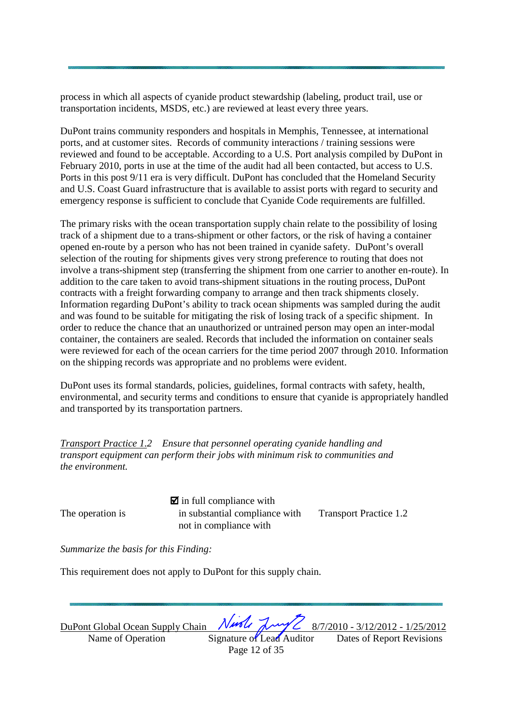process in which all aspects of cyanide product stewardship (labeling, product trail, use or transportation incidents, MSDS, etc.) are reviewed at least every three years.

DuPont trains community responders and hospitals in Memphis, Tennessee, at international ports, and at customer sites. Records of community interactions / training sessions were reviewed and found to be acceptable. According to a U.S. Port analysis compiled by DuPont in February 2010, ports in use at the time of the audit had all been contacted, but access to U.S. Ports in this post 9/11 era is very difficult. DuPont has concluded that the Homeland Security and U.S. Coast Guard infrastructure that is available to assist ports with regard to security and emergency response is sufficient to conclude that Cyanide Code requirements are fulfilled.

The primary risks with the ocean transportation supply chain relate to the possibility of losing track of a shipment due to a trans-shipment or other factors, or the risk of having a container opened en-route by a person who has not been trained in cyanide safety. DuPont's overall selection of the routing for shipments gives very strong preference to routing that does not involve a trans-shipment step (transferring the shipment from one carrier to another en-route). In addition to the care taken to avoid trans-shipment situations in the routing process, DuPont contracts with a freight forwarding company to arrange and then track shipments closely. Information regarding DuPont's ability to track ocean shipments was sampled during the audit and was found to be suitable for mitigating the risk of losing track of a specific shipment. In order to reduce the chance that an unauthorized or untrained person may open an inter-modal container, the containers are sealed. Records that included the information on container seals were reviewed for each of the ocean carriers for the time period 2007 through 2010. Information on the shipping records was appropriate and no problems were evident.

DuPont uses its formal standards, policies, guidelines, formal contracts with safety, health, environmental, and security terms and conditions to ensure that cyanide is appropriately handled and transported by its transportation partners.

*Transport Practice 1.2 Ensure that personnel operating cyanide handling and transport equipment can perform their jobs with minimum risk to communities and the environment.* 

 $\blacksquare$  in full compliance with The operation is in substantial compliance with Transport Practice 1.2 not in compliance with

*Summarize the basis for this Finding:* 

This requirement does not apply to DuPont for this supply chain.

 $\frac{\text{DuPont Global Ocean Supply Chain} \quad \text{Null} \quad \text{Null} \quad \text{Null} \quad \text{S/7/2010 - 3/12/2012 - 1/25/2012}}{\text{Name of Operation}}$ 

Name of Operation Signature of Lead Auditor Page 12 of 35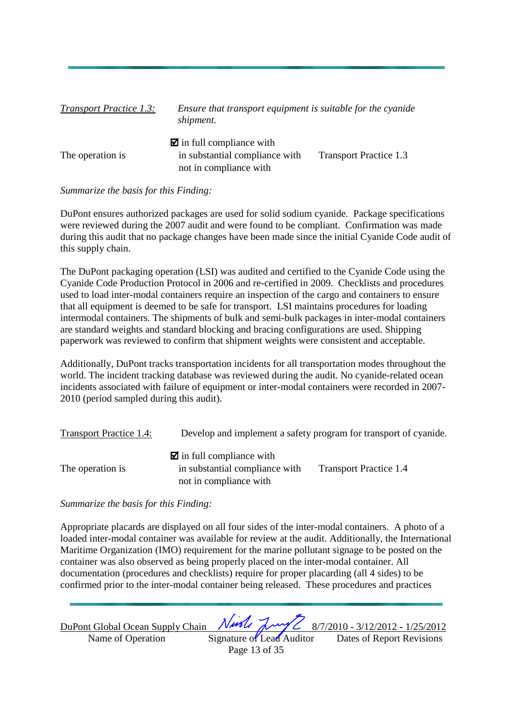| <b>Transport Practice 1.3:</b> | shipment.                                                                                          | Ensure that transport equipment is suitable for the cyanide |  |  |
|--------------------------------|----------------------------------------------------------------------------------------------------|-------------------------------------------------------------|--|--|
| The operation is               | $\blacksquare$ in full compliance with<br>in substantial compliance with<br>not in compliance with | <b>Transport Practice 1.3</b>                               |  |  |

#### *Summarize the basis for this Finding:*

DuPont ensures authorized packages are used for solid sodium cyanide. Package specifications were reviewed during the 2007 audit and were found to be compliant. Confirmation was made during this audit that no package changes have been made since the initial Cyanide Code audit of this supply chain.

The DuPont packaging operation (LSI) was audited and certified to the Cyanide Code using the Cyanide Code Production Protocol in 2006 and re-certified in 2009. Checklists and procedures used to load inter-modal containers require an inspection of the cargo and containers to ensure that all equipment is deemed to be safe for transport. LSI maintains procedures for loading intermodal containers. The shipments of bulk and semi-bulk packages in inter-modal containers are standard weights and standard blocking and bracing configurations are used. Shipping paperwork was reviewed to confirm that shipment weights were consistent and acceptable.

Additionally, DuPont tracks transportation incidents for all transportation modes throughout the world. The incident tracking database was reviewed during the audit. No cyanide-related ocean incidents associated with failure of equipment or inter-modal containers were recorded in 2007- 2010 (period sampled during this audit).

| <b>Transport Practice 1.4:</b> | Develop and implement a safety program for transport of cyanide.                                   |                               |  |
|--------------------------------|----------------------------------------------------------------------------------------------------|-------------------------------|--|
| The operation is               | $\blacksquare$ in full compliance with<br>in substantial compliance with<br>not in compliance with | <b>Transport Practice 1.4</b> |  |

#### *Summarize the basis for this Finding:*

Appropriate placards are displayed on all four sides of the inter-modal containers. A photo of a loaded inter-modal container was available for review at the audit. Additionally, the International Maritime Organization (IMO) requirement for the marine pollutant signage to be posted on the container was also observed as being properly placed on the inter-modal container. All documentation (procedures and checklists) require for proper placarding (all 4 sides) to be confirmed prior to the inter-modal container being released. These procedures and practices

<u>DuPont Global Ocean Supply Chain (VAMC AMY C 8/7/2010 - 3/12/2012 - 1/25/2012</u>

Name of Operation Signature of Lead Auditor Dates of Report Revisions Page 13 of 35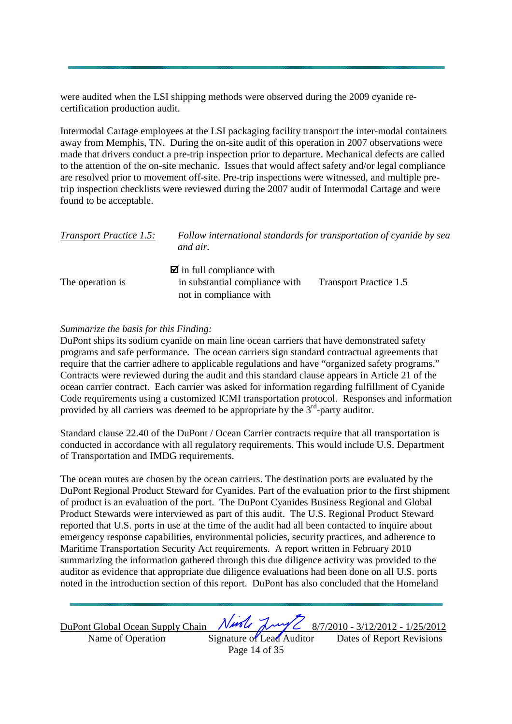were audited when the LSI shipping methods were observed during the 2009 cyanide recertification production audit.

Intermodal Cartage employees at the LSI packaging facility transport the inter-modal containers away from Memphis, TN. During the on-site audit of this operation in 2007 observations were made that drivers conduct a pre-trip inspection prior to departure. Mechanical defects are called to the attention of the on-site mechanic. Issues that would affect safety and/or legal compliance are resolved prior to movement off-site. Pre-trip inspections were witnessed, and multiple pretrip inspection checklists were reviewed during the 2007 audit of Intermodal Cartage and were found to be acceptable.

| <b>Transport Practice 1.5:</b> | Follow international standards for transportation of cyanide by sea<br>and air.                    |                               |  |
|--------------------------------|----------------------------------------------------------------------------------------------------|-------------------------------|--|
| The operation is               | $\blacksquare$ in full compliance with<br>in substantial compliance with<br>not in compliance with | <b>Transport Practice 1.5</b> |  |

#### *Summarize the basis for this Finding:*

DuPont ships its sodium cyanide on main line ocean carriers that have demonstrated safety programs and safe performance. The ocean carriers sign standard contractual agreements that require that the carrier adhere to applicable regulations and have "organized safety programs." Contracts were reviewed during the audit and this standard clause appears in Article 21 of the ocean carrier contract. Each carrier was asked for information regarding fulfillment of Cyanide Code requirements using a customized ICMI transportation protocol. Responses and information provided by all carriers was deemed to be appropriate by the  $3<sup>rd</sup>$ -party auditor.

Standard clause 22.40 of the DuPont / Ocean Carrier contracts require that all transportation is conducted in accordance with all regulatory requirements. This would include U.S. Department of Transportation and IMDG requirements.

The ocean routes are chosen by the ocean carriers. The destination ports are evaluated by the DuPont Regional Product Steward for Cyanides. Part of the evaluation prior to the first shipment of product is an evaluation of the port. The DuPont Cyanides Business Regional and Global Product Stewards were interviewed as part of this audit. The U.S. Regional Product Steward reported that U.S. ports in use at the time of the audit had all been contacted to inquire about emergency response capabilities, environmental policies, security practices, and adherence to Maritime Transportation Security Act requirements. A report written in February 2010 summarizing the information gathered through this due diligence activity was provided to the auditor as evidence that appropriate due diligence evaluations had been done on all U.S. ports noted in the introduction section of this report. DuPont has also concluded that the Homeland

<u>DuPont Global Ocean Supply Chain (VAMC AMY C 8/7/2010 - 3/12/2012 - 1/25/2012</u> Name of Operation Signature of Lead Auditor Dates of Report Revisions

Page 14 of 35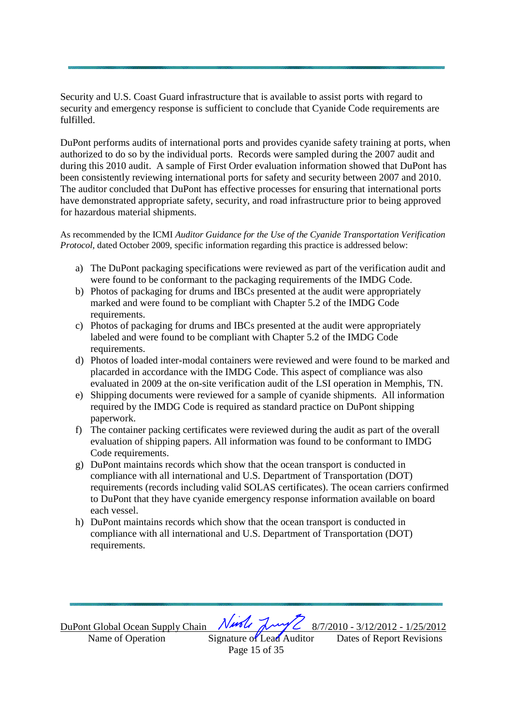Security and U.S. Coast Guard infrastructure that is available to assist ports with regard to security and emergency response is sufficient to conclude that Cyanide Code requirements are fulfilled.

DuPont performs audits of international ports and provides cyanide safety training at ports, when authorized to do so by the individual ports. Records were sampled during the 2007 audit and during this 2010 audit. A sample of First Order evaluation information showed that DuPont has been consistently reviewing international ports for safety and security between 2007 and 2010. The auditor concluded that DuPont has effective processes for ensuring that international ports have demonstrated appropriate safety, security, and road infrastructure prior to being approved for hazardous material shipments.

As recommended by the ICMI *Auditor Guidance for the Use of the Cyanide Transportation Verification Protocol,* dated October 2009, specific information regarding this practice is addressed below:

- a) The DuPont packaging specifications were reviewed as part of the verification audit and were found to be conformant to the packaging requirements of the IMDG Code.
- b) Photos of packaging for drums and IBCs presented at the audit were appropriately marked and were found to be compliant with Chapter 5.2 of the IMDG Code requirements.
- c) Photos of packaging for drums and IBCs presented at the audit were appropriately labeled and were found to be compliant with Chapter 5.2 of the IMDG Code requirements.
- d) Photos of loaded inter-modal containers were reviewed and were found to be marked and placarded in accordance with the IMDG Code. This aspect of compliance was also evaluated in 2009 at the on-site verification audit of the LSI operation in Memphis, TN.
- e) Shipping documents were reviewed for a sample of cyanide shipments. All information required by the IMDG Code is required as standard practice on DuPont shipping paperwork.
- f) The container packing certificates were reviewed during the audit as part of the overall evaluation of shipping papers. All information was found to be conformant to IMDG Code requirements.
- g) DuPont maintains records which show that the ocean transport is conducted in compliance with all international and U.S. Department of Transportation (DOT) requirements (records including valid SOLAS certificates). The ocean carriers confirmed to DuPont that they have cyanide emergency response information available on board each vessel.
- h) DuPont maintains records which show that the ocean transport is conducted in compliance with all international and U.S. Department of Transportation (DOT) requirements.

<u>DuPont Global Ocean Supply Chain (VAMC AMY C 8/7/2010 - 3/12/2012 - 1/25/2012</u>

Page 15 of 35

Name of Operation Signature of Lead Auditor Dates of Report Revisions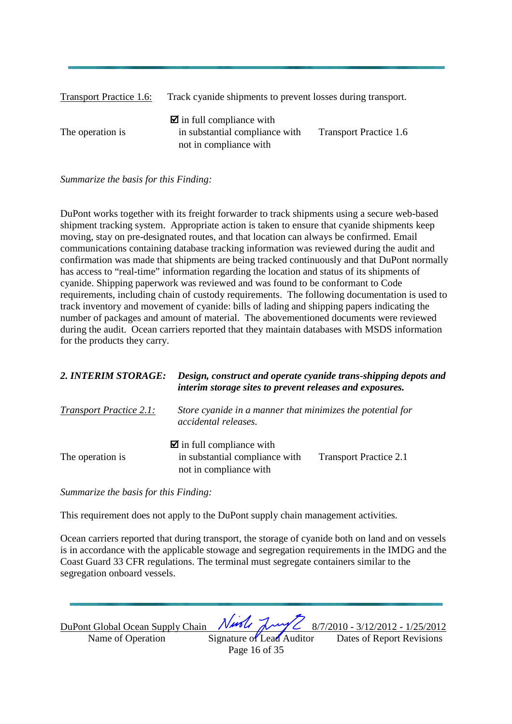| Transport Practice 1.6: | Track cyanide shipments to prevent losses during transport.                                        |                               |  |
|-------------------------|----------------------------------------------------------------------------------------------------|-------------------------------|--|
| The operation is        | $\blacksquare$ in full compliance with<br>in substantial compliance with<br>not in compliance with | <b>Transport Practice 1.6</b> |  |

*Summarize the basis for this Finding:*

DuPont works together with its freight forwarder to track shipments using a secure web-based shipment tracking system. Appropriate action is taken to ensure that cyanide shipments keep moving, stay on pre-designated routes, and that location can always be confirmed. Email communications containing database tracking information was reviewed during the audit and confirmation was made that shipments are being tracked continuously and that DuPont normally has access to "real-time" information regarding the location and status of its shipments of cyanide. Shipping paperwork was reviewed and was found to be conformant to Code requirements, including chain of custody requirements. The following documentation is used to track inventory and movement of cyanide: bills of lading and shipping papers indicating the number of packages and amount of material. The abovementioned documents were reviewed during the audit. Ocean carriers reported that they maintain databases with MSDS information for the products they carry.

| 2. INTERIM STORAGE:            | Design, construct and operate cyanide trans-shipping depots and<br>interim storage sites to prevent releases and exposures. |                               |  |
|--------------------------------|-----------------------------------------------------------------------------------------------------------------------------|-------------------------------|--|
| <b>Transport Practice 2.1:</b> | Store cyanide in a manner that minimizes the potential for<br>accidental releases.                                          |                               |  |
| The operation is               | $\blacksquare$ in full compliance with<br>in substantial compliance with<br>not in compliance with                          | <b>Transport Practice 2.1</b> |  |

*Summarize the basis for this Finding:* 

This requirement does not apply to the DuPont supply chain management activities.

Ocean carriers reported that during transport, the storage of cyanide both on land and on vessels is in accordance with the applicable stowage and segregation requirements in the IMDG and the Coast Guard 33 CFR regulations. The terminal must segregate containers similar to the segregation onboard vessels.

 $\frac{\text{DuPont Global Ocean Supply Chain} \quad \text{Null} \quad \text{Null} \quad \text{Null} \quad \text{S/7/2010 - 3/12/2012 - 1/25/2012}}{\text{Name of Operation} \quad \text{Signature of Lead Auditor} \quad \text{Dates of Report Revisions}}$ Name of Operation Signature of Lead Auditor

Page 16 of 35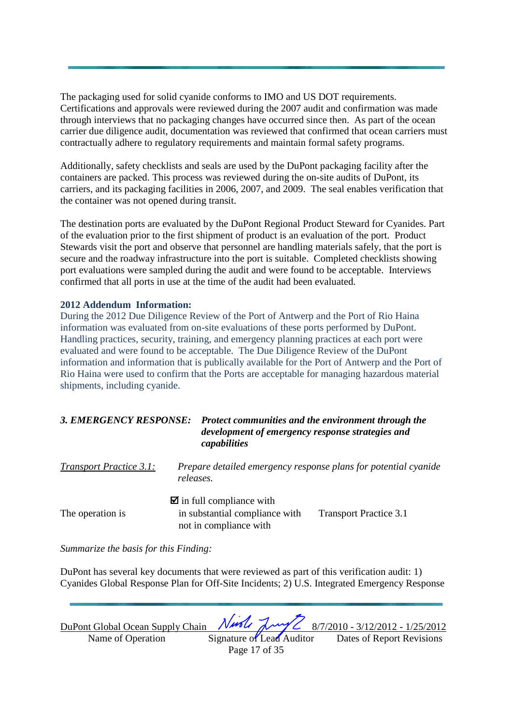The packaging used for solid cyanide conforms to IMO and US DOT requirements. Certifications and approvals were reviewed during the 2007 audit and confirmation was made through interviews that no packaging changes have occurred since then. As part of the ocean carrier due diligence audit, documentation was reviewed that confirmed that ocean carriers must contractually adhere to regulatory requirements and maintain formal safety programs.

Additionally, safety checklists and seals are used by the DuPont packaging facility after the containers are packed. This process was reviewed during the on-site audits of DuPont, its carriers, and its packaging facilities in 2006, 2007, and 2009. The seal enables verification that the container was not opened during transit.

The destination ports are evaluated by the DuPont Regional Product Steward for Cyanides. Part of the evaluation prior to the first shipment of product is an evaluation of the port. Product Stewards visit the port and observe that personnel are handling materials safely, that the port is secure and the roadway infrastructure into the port is suitable. Completed checklists showing port evaluations were sampled during the audit and were found to be acceptable. Interviews confirmed that all ports in use at the time of the audit had been evaluated.

#### **2012 Addendum Information:**

During the 2012 Due Diligence Review of the Port of Antwerp and the Port of Rio Haina information was evaluated from on-site evaluations of these ports performed by DuPont. Handling practices, security, training, and emergency planning practices at each port were evaluated and were found to be acceptable. The Due Diligence Review of the DuPont information and information that is publically available for the Port of Antwerp and the Port of Rio Haina were used to confirm that the Ports are acceptable for managing hazardous material shipments, including cyanide.

## *3. EMERGENCY RESPONSE: Protect communities and the environment through the development of emergency response strategies and capabilities*

| <b>Transport Practice 3.1:</b> | Prepare detailed emergency response plans for potential cyanide<br>releases. |                               |
|--------------------------------|------------------------------------------------------------------------------|-------------------------------|
|                                | $\blacksquare$ in full compliance with                                       |                               |
| The operation is               | in substantial compliance with                                               | <b>Transport Practice 3.1</b> |

not in compliance with

*Summarize the basis for this Finding:* 

DuPont has several key documents that were reviewed as part of this verification audit: 1) Cyanides Global Response Plan for Off-Site Incidents; 2) U.S. Integrated Emergency Response

 $\frac{\text{DuPont Global Ocean Supply Chain} \quad \text{Null} \quad \text{Null} \quad \text{Null} \quad \text{S/7/2010 - 3/12/2012 - 1/25/2012}}{\text{Name of Operation}}$ Name of Operation Signature of Lead Auditor Page 17 of 35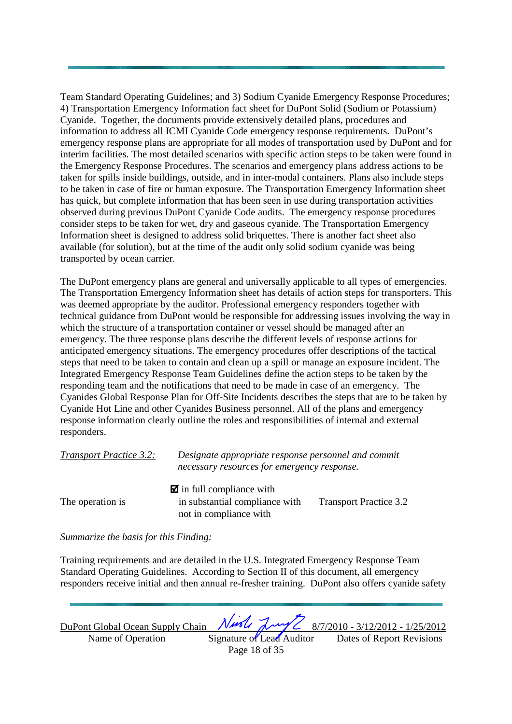Team Standard Operating Guidelines; and 3) Sodium Cyanide Emergency Response Procedures; 4) Transportation Emergency Information fact sheet for DuPont Solid (Sodium or Potassium) Cyanide. Together, the documents provide extensively detailed plans, procedures and information to address all ICMI Cyanide Code emergency response requirements. DuPont's emergency response plans are appropriate for all modes of transportation used by DuPont and for interim facilities. The most detailed scenarios with specific action steps to be taken were found in the Emergency Response Procedures. The scenarios and emergency plans address actions to be taken for spills inside buildings, outside, and in inter-modal containers. Plans also include steps to be taken in case of fire or human exposure. The Transportation Emergency Information sheet has quick, but complete information that has been seen in use during transportation activities observed during previous DuPont Cyanide Code audits. The emergency response procedures consider steps to be taken for wet, dry and gaseous cyanide. The Transportation Emergency Information sheet is designed to address solid briquettes. There is another fact sheet also available (for solution), but at the time of the audit only solid sodium cyanide was being transported by ocean carrier.

The DuPont emergency plans are general and universally applicable to all types of emergencies. The Transportation Emergency Information sheet has details of action steps for transporters. This was deemed appropriate by the auditor. Professional emergency responders together with technical guidance from DuPont would be responsible for addressing issues involving the way in which the structure of a transportation container or vessel should be managed after an emergency. The three response plans describe the different levels of response actions for anticipated emergency situations. The emergency procedures offer descriptions of the tactical steps that need to be taken to contain and clean up a spill or manage an exposure incident. The Integrated Emergency Response Team Guidelines define the action steps to be taken by the responding team and the notifications that need to be made in case of an emergency. The Cyanides Global Response Plan for Off-Site Incidents describes the steps that are to be taken by Cyanide Hot Line and other Cyanides Business personnel. All of the plans and emergency response information clearly outline the roles and responsibilities of internal and external responders.

| <b>Transport Practice 3.2:</b> | Designate appropriate response personnel and commit<br>necessary resources for emergency response. |                               |  |
|--------------------------------|----------------------------------------------------------------------------------------------------|-------------------------------|--|
| The operation is               | $\blacksquare$ in full compliance with<br>in substantial compliance with<br>not in compliance with | <b>Transport Practice 3.2</b> |  |

*Summarize the basis for this Finding:* 

Training requirements and are detailed in the U.S. Integrated Emergency Response Team Standard Operating Guidelines. According to Section II of this document, all emergency responders receive initial and then annual re-fresher training. DuPont also offers cyanide safety

 $\frac{\text{DuPont Global Ocean Supply Chain} \quad \text{Null} \quad \text{Null} \quad \text{Null} \quad \text{S/7/2010 - 3/12/2012 - 1/25/2012}}{\text{Name of Operation}}$ Name of Operation Signature of Lead Auditor

Page 18 of 35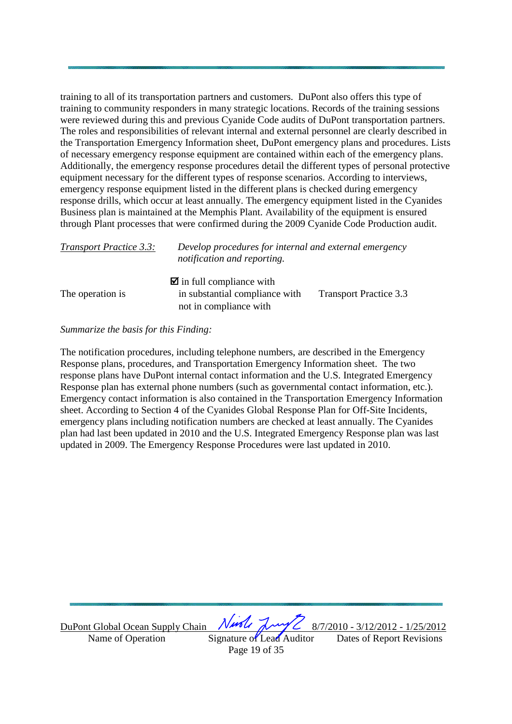training to all of its transportation partners and customers. DuPont also offers this type of training to community responders in many strategic locations. Records of the training sessions were reviewed during this and previous Cyanide Code audits of DuPont transportation partners. The roles and responsibilities of relevant internal and external personnel are clearly described in the Transportation Emergency Information sheet, DuPont emergency plans and procedures. Lists of necessary emergency response equipment are contained within each of the emergency plans. Additionally, the emergency response procedures detail the different types of personal protective equipment necessary for the different types of response scenarios. According to interviews, emergency response equipment listed in the different plans is checked during emergency response drills, which occur at least annually. The emergency equipment listed in the Cyanides Business plan is maintained at the Memphis Plant. Availability of the equipment is ensured through Plant processes that were confirmed during the 2009 Cyanide Code Production audit.

| <b>Transport Practice 3.3:</b> | Develop procedures for internal and external emergency<br>notification and reporting.              |                               |
|--------------------------------|----------------------------------------------------------------------------------------------------|-------------------------------|
| The operation is               | $\blacksquare$ in full compliance with<br>in substantial compliance with<br>not in compliance with | <b>Transport Practice 3.3</b> |

*Summarize the basis for this Finding:* 

The notification procedures, including telephone numbers, are described in the Emergency Response plans, procedures, and Transportation Emergency Information sheet. The two response plans have DuPont internal contact information and the U.S. Integrated Emergency Response plan has external phone numbers (such as governmental contact information, etc.). Emergency contact information is also contained in the Transportation Emergency Information sheet. According to Section 4 of the Cyanides Global Response Plan for Off-Site Incidents, emergency plans including notification numbers are checked at least annually. The Cyanides plan had last been updated in 2010 and the U.S. Integrated Emergency Response plan was last updated in 2009. The Emergency Response Procedures were last updated in 2010.

 $\frac{\text{DuPont Global Ocean Supply Chain} \quad \text{Null} \quad \text{Null} \quad \text{Null} \quad \text{S/7/2010 - 3/12/2012 - 1/25/2012}}{\text{Name of Operation} \quad \text{Signature of Lead Auditor} \quad \text{Dates of Report Revisions}}$ 

Page 19 of 35

Name of Operation Signature of Lead Auditor Dates of Report Revisions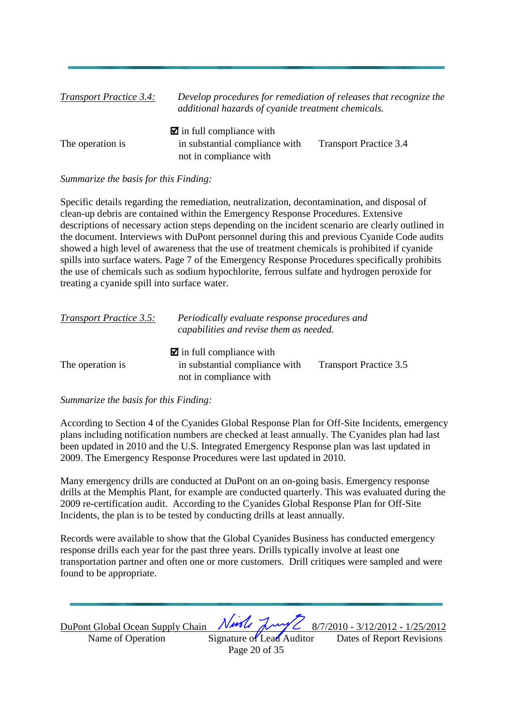| <b>Transport Practice 3.4:</b> | Develop procedures for remediation of releases that recognize the<br>additional hazards of cyanide treatment chemicals. |                               |  |
|--------------------------------|-------------------------------------------------------------------------------------------------------------------------|-------------------------------|--|
| The operation is               | $\blacksquare$ in full compliance with<br>in substantial compliance with<br>not in compliance with                      | <b>Transport Practice 3.4</b> |  |

#### *Summarize the basis for this Finding:*

Specific details regarding the remediation, neutralization, decontamination, and disposal of clean-up debris are contained within the Emergency Response Procedures. Extensive descriptions of necessary action steps depending on the incident scenario are clearly outlined in the document. Interviews with DuPont personnel during this and previous Cyanide Code audits showed a high level of awareness that the use of treatment chemicals is prohibited if cyanide spills into surface waters. Page 7 of the Emergency Response Procedures specifically prohibits the use of chemicals such as sodium hypochlorite, ferrous sulfate and hydrogen peroxide for treating a cyanide spill into surface water.

| <b>Transport Practice 3.5:</b> | Periodically evaluate response procedures and<br>capabilities and revise them as needed.           |                               |  |
|--------------------------------|----------------------------------------------------------------------------------------------------|-------------------------------|--|
| The operation is               | $\blacksquare$ in full compliance with<br>in substantial compliance with<br>not in compliance with | <b>Transport Practice 3.5</b> |  |

#### *Summarize the basis for this Finding:*

According to Section 4 of the Cyanides Global Response Plan for Off-Site Incidents, emergency plans including notification numbers are checked at least annually. The Cyanides plan had last been updated in 2010 and the U.S. Integrated Emergency Response plan was last updated in 2009. The Emergency Response Procedures were last updated in 2010.

Many emergency drills are conducted at DuPont on an on-going basis. Emergency response drills at the Memphis Plant, for example are conducted quarterly. This was evaluated during the 2009 re-certification audit. According to the Cyanides Global Response Plan for Off-Site Incidents, the plan is to be tested by conducting drills at least annually.

Records were available to show that the Global Cyanides Business has conducted emergency response drills each year for the past three years. Drills typically involve at least one transportation partner and often one or more customers. Drill critiques were sampled and were found to be appropriate.

 $\frac{\text{DuPont Global Ocean Supply Chain} \quad \text{Null} \quad \text{Null} \quad \text{Null} \quad \text{S/7/2010 - 3/12/2012 - 1/25/2012}}{\text{Name of Operation} \quad \text{Signature of Lead Auditor} \quad \text{Dates of Report Revisions}}$ 

Page 20 of 35

Name of Operation Signature of Lead Auditor Dates of Report Revisions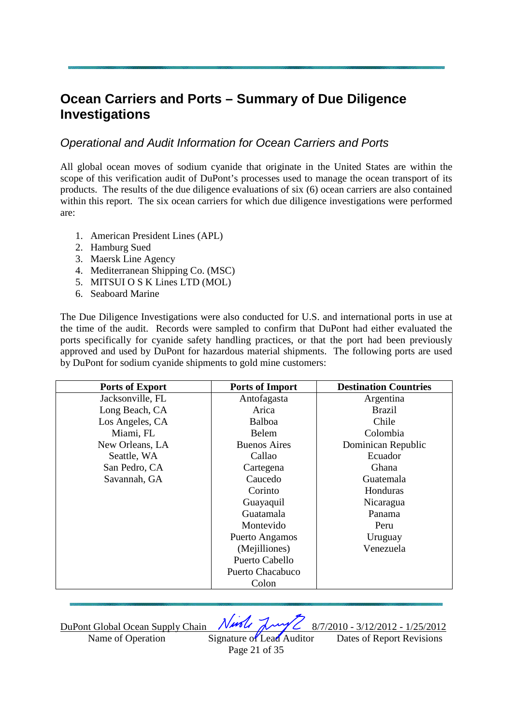# **Ocean Carriers and Ports – Summary of Due Diligence Investigations**

# Operational and Audit Information for Ocean Carriers and Ports

All global ocean moves of sodium cyanide that originate in the United States are within the scope of this verification audit of DuPont's processes used to manage the ocean transport of its products. The results of the due diligence evaluations of six (6) ocean carriers are also contained within this report. The six ocean carriers for which due diligence investigations were performed are:

- 1. American President Lines (APL)
- 2. Hamburg Sued
- 3. Maersk Line Agency
- 4. Mediterranean Shipping Co. (MSC)
- 5. MITSUI O S K Lines LTD (MOL)
- 6. Seaboard Marine

The Due Diligence Investigations were also conducted for U.S. and international ports in use at the time of the audit. Records were sampled to confirm that DuPont had either evaluated the ports specifically for cyanide safety handling practices, or that the port had been previously approved and used by DuPont for hazardous material shipments. The following ports are used by DuPont for sodium cyanide shipments to gold mine customers:

| <b>Ports of Export</b> | <b>Ports of Import</b> | <b>Destination Countries</b> |
|------------------------|------------------------|------------------------------|
| Jacksonville, FL       | Antofagasta            | Argentina                    |
| Long Beach, CA         | Arica                  | <b>Brazil</b>                |
| Los Angeles, CA        | <b>Balboa</b>          | Chile                        |
| Miami, FL              | Belem                  | Colombia                     |
| New Orleans, LA        | <b>Buenos Aires</b>    | Dominican Republic           |
| Seattle, WA            | Callao                 | Ecuador                      |
| San Pedro, CA          | Cartegena              | Ghana                        |
| Savannah, GA           | Caucedo                | Guatemala                    |
|                        | Corinto                | Honduras                     |
|                        | Guayaquil              | Nicaragua                    |
|                        | Guatamala              | Panama                       |
|                        | Montevido              | Peru                         |
|                        | Puerto Angamos         | Uruguay                      |
|                        | (Mejilliones)          | Venezuela                    |
|                        | Puerto Cabello         |                              |
|                        | Puerto Chacabuco       |                              |
|                        | Colon                  |                              |

DuPont Global Ocean Supply Chain  $N$  is  $\sqrt{\frac{2}{3}}$  8/7/2010 - 3/12/2012 - 1/25/2012

Name of Operation Signature of Lead Auditor Dates of Report Revisions

Page 21 of 35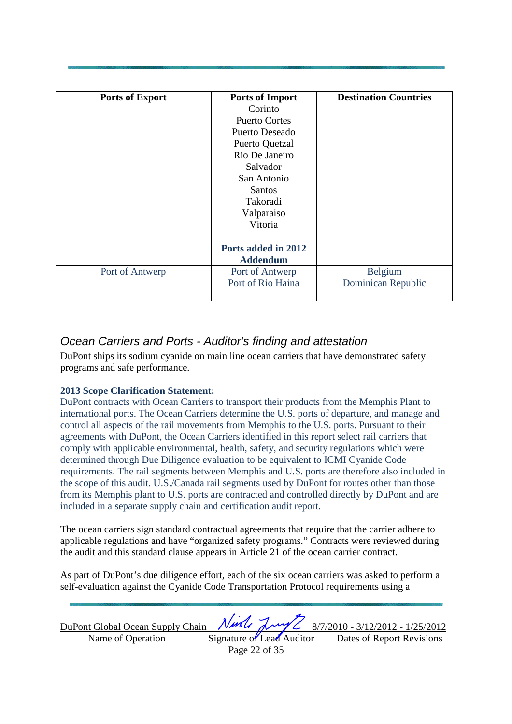| <b>Ports of Export</b> | <b>Ports of Import</b> | <b>Destination Countries</b> |
|------------------------|------------------------|------------------------------|
|                        | Corinto                |                              |
|                        | <b>Puerto Cortes</b>   |                              |
|                        | Puerto Deseado         |                              |
|                        | Puerto Quetzal         |                              |
|                        | Rio De Janeiro         |                              |
|                        | Salvador               |                              |
|                        | San Antonio            |                              |
|                        | Santos                 |                              |
|                        | Takoradi               |                              |
|                        | Valparaiso             |                              |
|                        | Vitoria                |                              |
|                        |                        |                              |
|                        | Ports added in 2012    |                              |
|                        | <b>Addendum</b>        |                              |
| Port of Antwerp        | Port of Antwerp        | <b>Belgium</b>               |
|                        | Port of Rio Haina      | Dominican Republic           |
|                        |                        |                              |

# Ocean Carriers and Ports - Auditor's finding and attestation

DuPont ships its sodium cyanide on main line ocean carriers that have demonstrated safety programs and safe performance.

## **2013 Scope Clarification Statement:**

DuPont contracts with Ocean Carriers to transport their products from the Memphis Plant to international ports. The Ocean Carriers determine the U.S. ports of departure, and manage and control all aspects of the rail movements from Memphis to the U.S. ports. Pursuant to their agreements with DuPont, the Ocean Carriers identified in this report select rail carriers that comply with applicable environmental, health, safety, and security regulations which were determined through Due Diligence evaluation to be equivalent to ICMI Cyanide Code requirements. The rail segments between Memphis and U.S. ports are therefore also included in the scope of this audit. U.S./Canada rail segments used by DuPont for routes other than those from its Memphis plant to U.S. ports are contracted and controlled directly by DuPont and are included in a separate supply chain and certification audit report.

The ocean carriers sign standard contractual agreements that require that the carrier adhere to applicable regulations and have "organized safety programs." Contracts were reviewed during the audit and this standard clause appears in Article 21 of the ocean carrier contract.

As part of DuPont's due diligence effort, each of the six ocean carriers was asked to perform a self-evaluation against the Cyanide Code Transportation Protocol requirements using a

 $\frac{\text{DuPont Global Ocean Supply Chain} \quad \text{Null} \quad \text{Null} \quad \text{Null} \quad \text{S/7/2010 - 3/12/2012 - 1/25/2012}}{\text{Name of Operation}}$ Name of Operation Signature of Lead Auditor Dates of Report Revisions

Page 22 of 35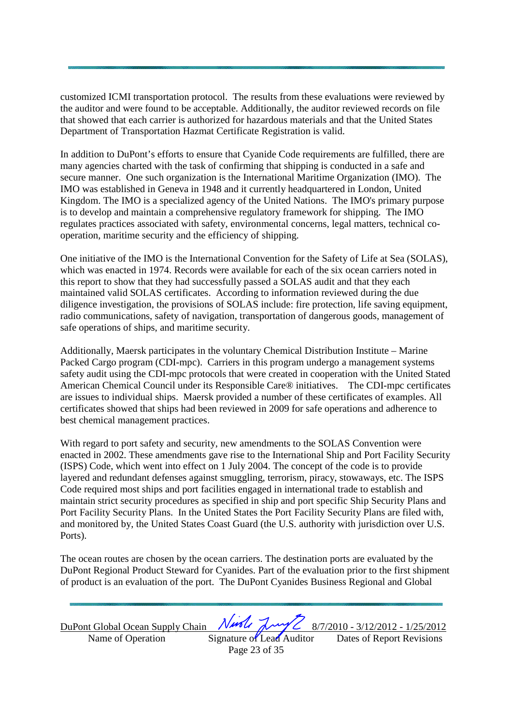customized ICMI transportation protocol. The results from these evaluations were reviewed by the auditor and were found to be acceptable. Additionally, the auditor reviewed records on file that showed that each carrier is authorized for hazardous materials and that the United States Department of Transportation Hazmat Certificate Registration is valid.

In addition to DuPont's efforts to ensure that Cyanide Code requirements are fulfilled, there are many agencies charted with the task of confirming that shipping is conducted in a safe and secure manner. One such organization is the International Maritime Organization (IMO). The IMO was established in Geneva in 1948 and it currently headquartered in London, United Kingdom. The IMO is a specialized agency of the United Nations. The IMO's primary purpose is to develop and maintain a comprehensive regulatory framework for shipping. The IMO regulates practices associated with safety, environmental concerns, legal matters, technical cooperation, maritime security and the efficiency of shipping.

One initiative of the IMO is the International Convention for the Safety of Life at Sea (SOLAS), which was enacted in 1974. Records were available for each of the six ocean carriers noted in this report to show that they had successfully passed a SOLAS audit and that they each maintained valid SOLAS certificates. According to information reviewed during the due diligence investigation, the provisions of SOLAS include: fire protection, life saving equipment, radio communications, safety of navigation, transportation of dangerous goods, management of safe operations of ships, and maritime security.

Additionally, Maersk participates in the voluntary Chemical Distribution Institute – Marine Packed Cargo program (CDI-mpc). Carriers in this program undergo a management systems safety audit using the CDI-mpc protocols that were created in cooperation with the United Stated American Chemical Council under its Responsible Care® initiatives. The CDI-mpc certificates are issues to individual ships. Maersk provided a number of these certificates of examples. All certificates showed that ships had been reviewed in 2009 for safe operations and adherence to best chemical management practices.

With regard to port safety and security, new amendments to the SOLAS Convention were enacted in 2002. These amendments gave rise to the International Ship and Port Facility Security (ISPS) Code, which went into effect on 1 July 2004. The concept of the code is to provide layered and redundant defenses against smuggling, terrorism, piracy, stowaways, etc. The ISPS Code required most ships and port facilities engaged in international trade to establish and maintain strict security procedures as specified in ship and port specific Ship Security Plans and Port Facility Security Plans. In the United States the Port Facility Security Plans are filed with, and monitored by, the United States Coast Guard (the U.S. authority with jurisdiction over U.S. Ports).

The ocean routes are chosen by the ocean carriers. The destination ports are evaluated by the DuPont Regional Product Steward for Cyanides. Part of the evaluation prior to the first shipment of product is an evaluation of the port. The DuPont Cyanides Business Regional and Global

 $\frac{\text{DuPont Global Ocean Supply Chain} \quad \text{Null} \quad \text{Null} \quad \text{Null} \quad \text{S/7/2010 - 3/12/2012 - 1/25/2012}}{\text{Name of Operation}}$ Name of Operation Signature of Lead Auditor

Page 23 of 35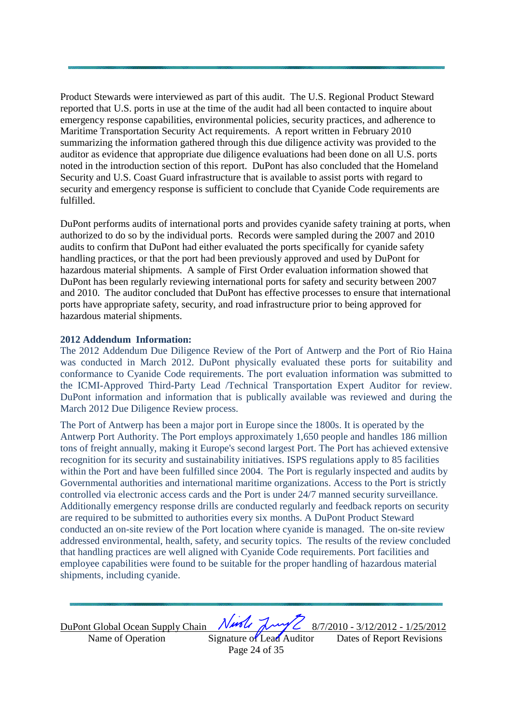Product Stewards were interviewed as part of this audit. The U.S. Regional Product Steward reported that U.S. ports in use at the time of the audit had all been contacted to inquire about emergency response capabilities, environmental policies, security practices, and adherence to Maritime Transportation Security Act requirements. A report written in February 2010 summarizing the information gathered through this due diligence activity was provided to the auditor as evidence that appropriate due diligence evaluations had been done on all U.S. ports noted in the introduction section of this report. DuPont has also concluded that the Homeland Security and U.S. Coast Guard infrastructure that is available to assist ports with regard to security and emergency response is sufficient to conclude that Cyanide Code requirements are fulfilled.

DuPont performs audits of international ports and provides cyanide safety training at ports, when authorized to do so by the individual ports. Records were sampled during the 2007 and 2010 audits to confirm that DuPont had either evaluated the ports specifically for cyanide safety handling practices, or that the port had been previously approved and used by DuPont for hazardous material shipments. A sample of First Order evaluation information showed that DuPont has been regularly reviewing international ports for safety and security between 2007 and 2010. The auditor concluded that DuPont has effective processes to ensure that international ports have appropriate safety, security, and road infrastructure prior to being approved for hazardous material shipments.

#### **2012 Addendum Information:**

The 2012 Addendum Due Diligence Review of the Port of Antwerp and the Port of Rio Haina was conducted in March 2012. DuPont physically evaluated these ports for suitability and conformance to Cyanide Code requirements. The port evaluation information was submitted to the ICMI-Approved Third-Party Lead /Technical Transportation Expert Auditor for review. DuPont information and information that is publically available was reviewed and during the March 2012 Due Diligence Review process.

The Port of Antwerp has been a major port in Europe since the 1800s. It is operated by the Antwerp Port Authority. The Port employs approximately 1,650 people and handles 186 million tons of freight annually, making it Europe's second largest Port. The Port has achieved extensive recognition for its security and sustainability initiatives. ISPS regulations apply to 85 facilities within the Port and have been fulfilled since 2004. The Port is regularly inspected and audits by Governmental authorities and international maritime organizations. Access to the Port is strictly controlled via electronic access cards and the Port is under 24/7 manned security surveillance. Additionally emergency response drills are conducted regularly and feedback reports on security are required to be submitted to authorities every six months. A DuPont Product Steward conducted an on-site review of the Port location where cyanide is managed. The on-site review addressed environmental, health, safety, and security topics. The results of the review concluded that handling practices are well aligned with Cyanide Code requirements. Port facilities and employee capabilities were found to be suitable for the proper handling of hazardous material shipments, including cyanide.

Name of Operation Signature of Lead Auditor Dates of Report Revisions

DuPont Global Ocean Supply Chain Nursley  $\frac{1}{2}$  8/7/2010 - 3/12/2012 - 1/25/2012

Page 24 of 35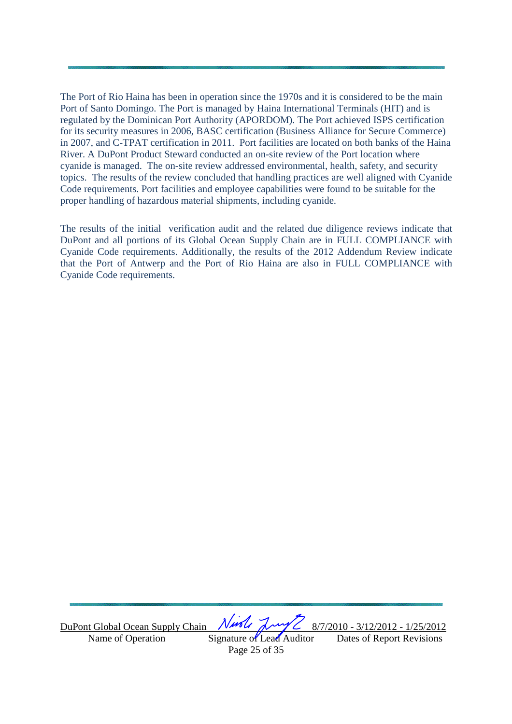The Port of Rio Haina has been in operation since the 1970s and it is considered to be the main Port of Santo Domingo. The Port is managed by Haina International Terminals (HIT) and is regulated by the Dominican Port Authority (APORDOM). The Port achieved ISPS certification for its security measures in 2006, BASC certification (Business Alliance for Secure Commerce) in 2007, and C-TPAT certification in 2011. Port facilities are located on both banks of the Haina River. A DuPont Product Steward conducted an on-site review of the Port location where cyanide is managed. The on-site review addressed environmental, health, safety, and security topics. The results of the review concluded that handling practices are well aligned with Cyanide Code requirements. Port facilities and employee capabilities were found to be suitable for the proper handling of hazardous material shipments, including cyanide.

The results of the initial verification audit and the related due diligence reviews indicate that DuPont and all portions of its Global Ocean Supply Chain are in FULL COMPLIANCE with Cyanide Code requirements. Additionally, the results of the 2012 Addendum Review indicate that the Port of Antwerp and the Port of Rio Haina are also in FULL COMPLIANCE with Cyanide Code requirements.

DuPont Global Ocean Supply Chain  $Nurbl$   $\lambda$ wy  $Z$  8/7/2010 - 3/12/2012 - 1/25/2012

Page 25 of 35

Name of Operation Signature of Lead Auditor Dates of Report Revisions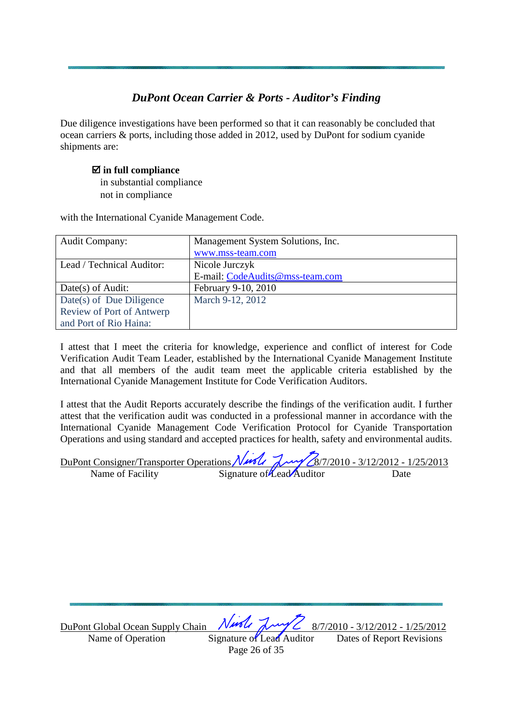# *DuPont Ocean Carrier & Ports - Auditor's Finding*

Due diligence investigations have been performed so that it can reasonably be concluded that ocean carriers & ports, including those added in 2012, used by DuPont for sodium cyanide shipments are:

#### **in full compliance**

 in substantial compliance not in compliance

with the International Cyanide Management Code.

| <b>Audit Company:</b>     | Management System Solutions, Inc. |
|---------------------------|-----------------------------------|
|                           | www.mss-team.com                  |
| Lead / Technical Auditor: | Nicole Jurczyk                    |
|                           | E-mail: CodeAudits@mss-team.com   |
| Date(s) of Audit:         | February 9-10, 2010               |
| Date(s) of Due Diligence  | March 9-12, 2012                  |
| Review of Port of Antwerp |                                   |
| and Port of Rio Haina:    |                                   |

I attest that I meet the criteria for knowledge, experience and conflict of interest for Code Verification Audit Team Leader, established by the International Cyanide Management Institute and that all members of the audit team meet the applicable criteria established by the International Cyanide Management Institute for Code Verification Auditors.

I attest that the Audit Reports accurately describe the findings of the verification audit. I further attest that the verification audit was conducted in a professional manner in accordance with the International Cyanide Management Code Verification Protocol for Cyanide Transportation Operations and using standard and accepted practices for health, safety and environmental audits.

| DuPont Consigner/Transporter Operations $\mathcal{N}$ urele $\mathcal{N}$ $\mathcal{N}$ $\mathcal{N}$ $\mathcal{N}$ $\mathcal{N}$ $\mathcal{N}$ $\mathcal{N}$ $\mathcal{N}$ $\mathcal{N}$ $\mathcal{N}$ $\mathcal{N}$ $\mathcal{N}$ $\mathcal{N}$ $\mathcal{N}$ $\mathcal{N}$ $\mathcal{N}$ $\mathcal{N}$ $\mathcal{N}$ $\mathcal{$ |                           |      |
|-------------------------------------------------------------------------------------------------------------------------------------------------------------------------------------------------------------------------------------------------------------------------------------------------------------------------------------|---------------------------|------|
| Name of Facility                                                                                                                                                                                                                                                                                                                    | Signature of Lead Auditor | Date |

DuPont Global Ocean Supply Chain Nurse 8/7/2010 - 3/12/2012 - 1/25/2012<br>Name of Operation Signature of Lead Auditor Dates of Report Revisions

Name of Operation Signature of Lead Auditor

Page 26 of 35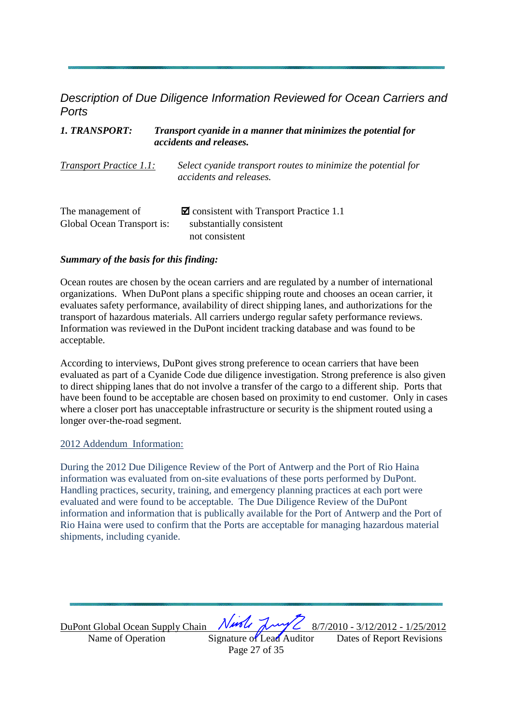Description of Due Diligence Information Reviewed for Ocean Carriers and **Ports** 

| 1. TRANSPORT:                                   | Transport cyanide in a manner that minimizes the potential for<br>accidents and releases.           |
|-------------------------------------------------|-----------------------------------------------------------------------------------------------------|
| Transport Practice 1.1:                         | Select cyanide transport routes to minimize the potential for<br>accidents and releases.            |
| The management of<br>Global Ocean Transport is: | $\blacksquare$ consistent with Transport Practice 1.1<br>substantially consistent<br>not consistent |

#### *Summary of the basis for this finding:*

Ocean routes are chosen by the ocean carriers and are regulated by a number of international organizations. When DuPont plans a specific shipping route and chooses an ocean carrier, it evaluates safety performance, availability of direct shipping lanes, and authorizations for the transport of hazardous materials. All carriers undergo regular safety performance reviews. Information was reviewed in the DuPont incident tracking database and was found to be acceptable.

According to interviews, DuPont gives strong preference to ocean carriers that have been evaluated as part of a Cyanide Code due diligence investigation. Strong preference is also given to direct shipping lanes that do not involve a transfer of the cargo to a different ship. Ports that have been found to be acceptable are chosen based on proximity to end customer. Only in cases where a closer port has unacceptable infrastructure or security is the shipment routed using a longer over-the-road segment.

#### 2012 Addendum Information:

During the 2012 Due Diligence Review of the Port of Antwerp and the Port of Rio Haina information was evaluated from on-site evaluations of these ports performed by DuPont. Handling practices, security, training, and emergency planning practices at each port were evaluated and were found to be acceptable. The Due Diligence Review of the DuPont information and information that is publically available for the Port of Antwerp and the Port of Rio Haina were used to confirm that the Ports are acceptable for managing hazardous material shipments, including cyanide.

DuPont Global Ocean Supply Chain Nurse 8/7/2010 - 3/12/2012 - 1/25/2012<br>Name of Operation Signature of Lead Auditor Dates of Report Revisions

Name of Operation Signature of Lead Auditor Page 27 of 35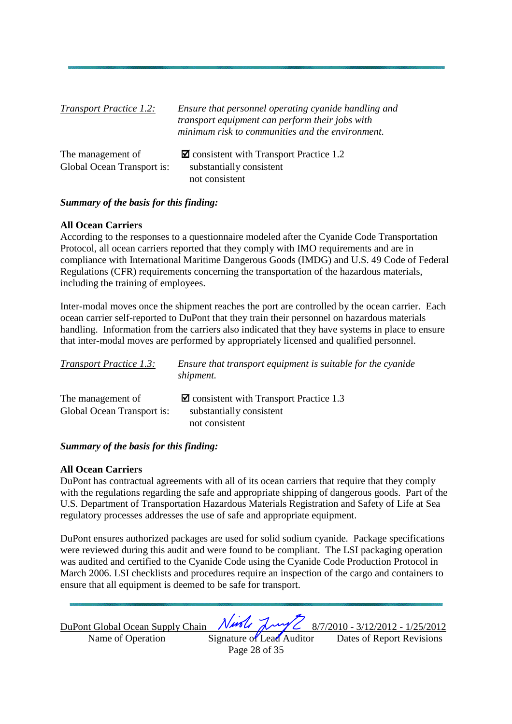| <b>Transport Practice 1.2:</b> | Ensure that personnel operating cyanide handling and<br>transport equipment can perform their jobs with<br>minimum risk to communities and the environment. |
|--------------------------------|-------------------------------------------------------------------------------------------------------------------------------------------------------------|
| The management of              | $\blacksquare$ consistent with Transport Practice 1.2                                                                                                       |
| Global Ocean Transport is:     | substantially consistent                                                                                                                                    |
|                                | not consistent                                                                                                                                              |

#### *Summary of the basis for this finding:*

#### **All Ocean Carriers**

According to the responses to a questionnaire modeled after the Cyanide Code Transportation Protocol, all ocean carriers reported that they comply with IMO requirements and are in compliance with International Maritime Dangerous Goods (IMDG) and U.S. 49 Code of Federal Regulations (CFR) requirements concerning the transportation of the hazardous materials, including the training of employees.

Inter-modal moves once the shipment reaches the port are controlled by the ocean carrier. Each ocean carrier self-reported to DuPont that they train their personnel on hazardous materials handling. Information from the carriers also indicated that they have systems in place to ensure that inter-modal moves are performed by appropriately licensed and qualified personnel.

| <i>Transport Practice 1.3:</i> | Ensure that transport equipment is suitable for the cyanide<br>shipment. |
|--------------------------------|--------------------------------------------------------------------------|
| The management of              | $\blacksquare$ consistent with Transport Practice 1.3                    |
| Global Ocean Transport is:     | substantially consistent                                                 |
|                                | not consistent                                                           |

#### *Summary of the basis for this finding:*

#### **All Ocean Carriers**

DuPont has contractual agreements with all of its ocean carriers that require that they comply with the regulations regarding the safe and appropriate shipping of dangerous goods. Part of the U.S. Department of Transportation Hazardous Materials Registration and Safety of Life at Sea regulatory processes addresses the use of safe and appropriate equipment.

DuPont ensures authorized packages are used for solid sodium cyanide. Package specifications were reviewed during this audit and were found to be compliant. The LSI packaging operation was audited and certified to the Cyanide Code using the Cyanide Code Production Protocol in March 2006. LSI checklists and procedures require an inspection of the cargo and containers to ensure that all equipment is deemed to be safe for transport.

 $\frac{\text{DuPont Global Ocean Supply Chain} \quad \text{Null} \quad \text{Null} \quad \text{Null} \quad \text{S/7/2010 - 3/12/2012 - 1/25/2012}}{\text{Name of Operation}}$ Name of Operation Signature of Lead Auditor

Page 28 of 35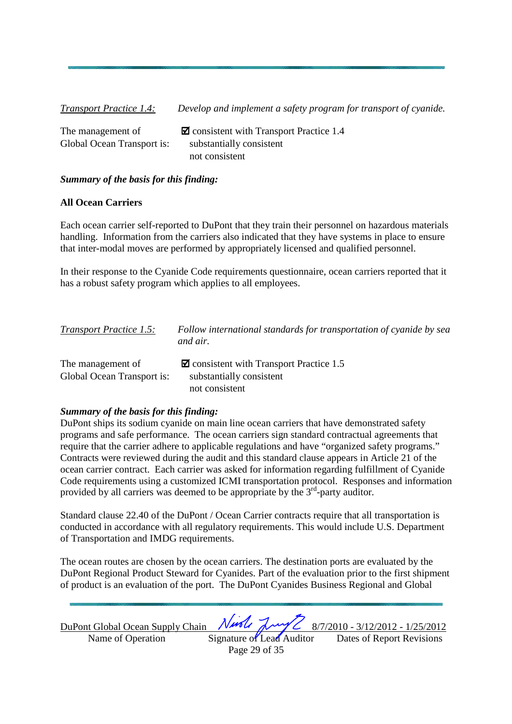*Transport Practice 1.4: Develop and implement a safety program for transport of cyanide.* 

The management of  $\Box$  consistent with Transport Practice 1.4 Global Ocean Transport is: substantially consistent not consistent

#### *Summary of the basis for this finding:*

#### **All Ocean Carriers**

Each ocean carrier self-reported to DuPont that they train their personnel on hazardous materials handling. Information from the carriers also indicated that they have systems in place to ensure that inter-modal moves are performed by appropriately licensed and qualified personnel.

In their response to the Cyanide Code requirements questionnaire, ocean carriers reported that it has a robust safety program which applies to all employees.

| <b>Transport Practice 1.5:</b>                  | Follow international standards for transportation of cyanide by sea<br>and air.                     |
|-------------------------------------------------|-----------------------------------------------------------------------------------------------------|
| The management of<br>Global Ocean Transport is: | $\blacksquare$ consistent with Transport Practice 1.5<br>substantially consistent<br>not consistent |

#### *Summary of the basis for this finding:*

DuPont ships its sodium cyanide on main line ocean carriers that have demonstrated safety programs and safe performance. The ocean carriers sign standard contractual agreements that require that the carrier adhere to applicable regulations and have "organized safety programs." Contracts were reviewed during the audit and this standard clause appears in Article 21 of the ocean carrier contract. Each carrier was asked for information regarding fulfillment of Cyanide Code requirements using a customized ICMI transportation protocol. Responses and information provided by all carriers was deemed to be appropriate by the  $3<sup>rd</sup>$ -party auditor.

Standard clause 22.40 of the DuPont / Ocean Carrier contracts require that all transportation is conducted in accordance with all regulatory requirements. This would include U.S. Department of Transportation and IMDG requirements.

The ocean routes are chosen by the ocean carriers. The destination ports are evaluated by the DuPont Regional Product Steward for Cyanides. Part of the evaluation prior to the first shipment of product is an evaluation of the port. The DuPont Cyanides Business Regional and Global

| DuPont Global Ocean Supply Chain Niesle Luy 2 8/7/2010 - 3/12/2012 - 1/25/2012 |                           |  |                           |
|--------------------------------------------------------------------------------|---------------------------|--|---------------------------|
| Name of Operation                                                              | Signature of Lead Auditor |  | Dates of Report Revisions |

Page 29 of 35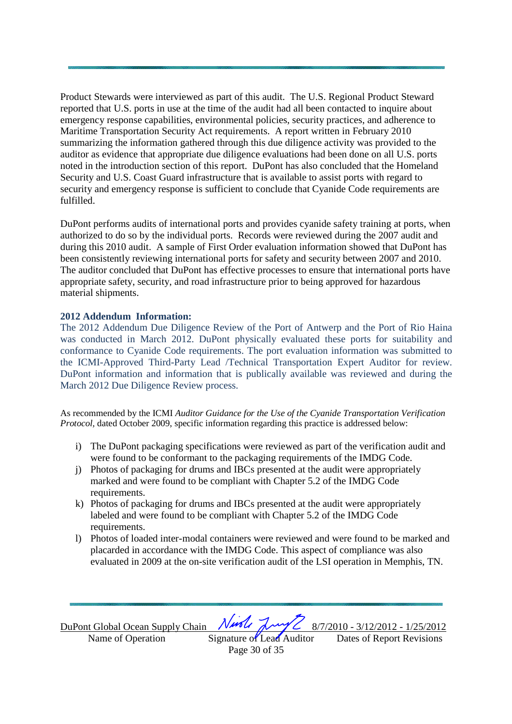Product Stewards were interviewed as part of this audit. The U.S. Regional Product Steward reported that U.S. ports in use at the time of the audit had all been contacted to inquire about emergency response capabilities, environmental policies, security practices, and adherence to Maritime Transportation Security Act requirements. A report written in February 2010 summarizing the information gathered through this due diligence activity was provided to the auditor as evidence that appropriate due diligence evaluations had been done on all U.S. ports noted in the introduction section of this report. DuPont has also concluded that the Homeland Security and U.S. Coast Guard infrastructure that is available to assist ports with regard to security and emergency response is sufficient to conclude that Cyanide Code requirements are fulfilled.

DuPont performs audits of international ports and provides cyanide safety training at ports, when authorized to do so by the individual ports. Records were reviewed during the 2007 audit and during this 2010 audit. A sample of First Order evaluation information showed that DuPont has been consistently reviewing international ports for safety and security between 2007 and 2010. The auditor concluded that DuPont has effective processes to ensure that international ports have appropriate safety, security, and road infrastructure prior to being approved for hazardous material shipments.

#### **2012 Addendum Information:**

The 2012 Addendum Due Diligence Review of the Port of Antwerp and the Port of Rio Haina was conducted in March 2012. DuPont physically evaluated these ports for suitability and conformance to Cyanide Code requirements. The port evaluation information was submitted to the ICMI-Approved Third-Party Lead /Technical Transportation Expert Auditor for review. DuPont information and information that is publically available was reviewed and during the March 2012 Due Diligence Review process.

As recommended by the ICMI *Auditor Guidance for the Use of the Cyanide Transportation Verification Protocol,* dated October 2009, specific information regarding this practice is addressed below:

- i) The DuPont packaging specifications were reviewed as part of the verification audit and were found to be conformant to the packaging requirements of the IMDG Code.
- j) Photos of packaging for drums and IBCs presented at the audit were appropriately marked and were found to be compliant with Chapter 5.2 of the IMDG Code requirements.
- k) Photos of packaging for drums and IBCs presented at the audit were appropriately labeled and were found to be compliant with Chapter 5.2 of the IMDG Code requirements.
- l) Photos of loaded inter-modal containers were reviewed and were found to be marked and placarded in accordance with the IMDG Code. This aspect of compliance was also evaluated in 2009 at the on-site verification audit of the LSI operation in Memphis, TN.

 $\frac{\text{DuPont Global Ocean Supply Chain} \quad \text{Null} \quad \text{Null} \quad \text{Null} \quad \text{S/7/2010 - 3/12/2012 - 1/25/2012}}{\text{Name of Operation}}$ Name of Operation Signature of Lead Auditor

Page 30 of 35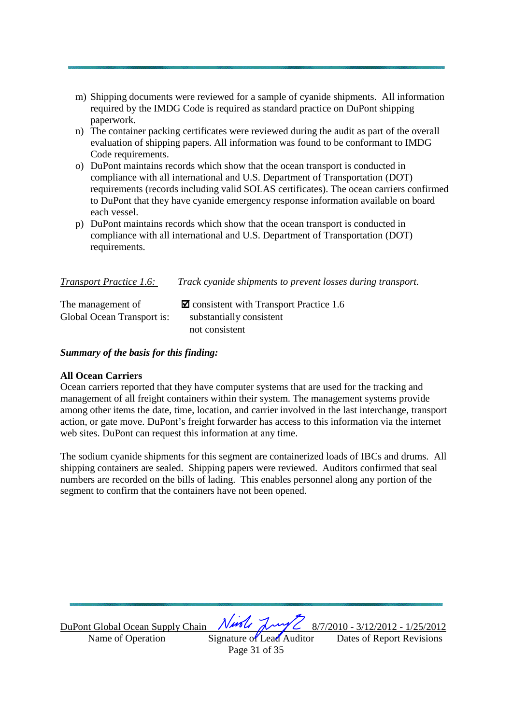- m) Shipping documents were reviewed for a sample of cyanide shipments. All information required by the IMDG Code is required as standard practice on DuPont shipping paperwork.
- n) The container packing certificates were reviewed during the audit as part of the overall evaluation of shipping papers. All information was found to be conformant to IMDG Code requirements.
- o) DuPont maintains records which show that the ocean transport is conducted in compliance with all international and U.S. Department of Transportation (DOT) requirements (records including valid SOLAS certificates). The ocean carriers confirmed to DuPont that they have cyanide emergency response information available on board each vessel.
- p) DuPont maintains records which show that the ocean transport is conducted in compliance with all international and U.S. Department of Transportation (DOT) requirements.

| <i>Transport Practice 1.6:</i>                  | Track cyanide shipments to prevent losses during transport.                                         |
|-------------------------------------------------|-----------------------------------------------------------------------------------------------------|
| The management of<br>Global Ocean Transport is: | $\blacksquare$ consistent with Transport Practice 1.6<br>substantially consistent<br>not consistent |
|                                                 |                                                                                                     |

#### *Summary of the basis for this finding:*

#### **All Ocean Carriers**

Ocean carriers reported that they have computer systems that are used for the tracking and management of all freight containers within their system. The management systems provide among other items the date, time, location, and carrier involved in the last interchange, transport action, or gate move. DuPont's freight forwarder has access to this information via the internet web sites. DuPont can request this information at any time.

The sodium cyanide shipments for this segment are containerized loads of IBCs and drums. All shipping containers are sealed. Shipping papers were reviewed. Auditors confirmed that seal numbers are recorded on the bills of lading. This enables personnel along any portion of the segment to confirm that the containers have not been opened.

DuPont Global Ocean Supply Chain Nurse 8/7/2010 - 3/12/2012 - 1/25/2012<br>Name of Operation Signature of Lead Auditor Dates of Report Revisions

Name of Operation Signature of Lead Auditor Page 31 of 35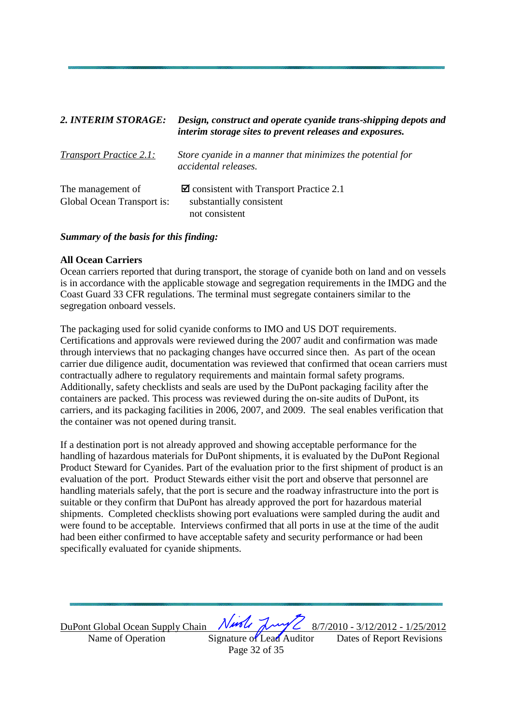| 2. INTERIM STORAGE:                             | Design, construct and operate cyanide trans-shipping depots and<br>interim storage sites to prevent releases and exposures. |
|-------------------------------------------------|-----------------------------------------------------------------------------------------------------------------------------|
| <b>Transport Practice 2.1:</b>                  | Store cyanide in a manner that minimizes the potential for<br><i>accidental releases.</i>                                   |
| The management of<br>Global Ocean Transport is: | $\blacksquare$ consistent with Transport Practice 2.1<br>substantially consistent<br>not consistent                         |

#### *Summary of the basis for this finding:*

#### **All Ocean Carriers**

Ocean carriers reported that during transport, the storage of cyanide both on land and on vessels is in accordance with the applicable stowage and segregation requirements in the IMDG and the Coast Guard 33 CFR regulations. The terminal must segregate containers similar to the segregation onboard vessels.

The packaging used for solid cyanide conforms to IMO and US DOT requirements. Certifications and approvals were reviewed during the 2007 audit and confirmation was made through interviews that no packaging changes have occurred since then. As part of the ocean carrier due diligence audit, documentation was reviewed that confirmed that ocean carriers must contractually adhere to regulatory requirements and maintain formal safety programs. Additionally, safety checklists and seals are used by the DuPont packaging facility after the containers are packed. This process was reviewed during the on-site audits of DuPont, its carriers, and its packaging facilities in 2006, 2007, and 2009. The seal enables verification that the container was not opened during transit.

If a destination port is not already approved and showing acceptable performance for the handling of hazardous materials for DuPont shipments, it is evaluated by the DuPont Regional Product Steward for Cyanides. Part of the evaluation prior to the first shipment of product is an evaluation of the port. Product Stewards either visit the port and observe that personnel are handling materials safely, that the port is secure and the roadway infrastructure into the port is suitable or they confirm that DuPont has already approved the port for hazardous material shipments. Completed checklists showing port evaluations were sampled during the audit and were found to be acceptable. Interviews confirmed that all ports in use at the time of the audit had been either confirmed to have acceptable safety and security performance or had been specifically evaluated for cyanide shipments.

<u>DuPont Global Ocean Supply Chain (VAMC AMY C 8/7/2010 - 3/12/2012 - 1/25/2012</u>

Page 32 of 35

Name of Operation Signature of Lead Auditor Dates of Report Revisions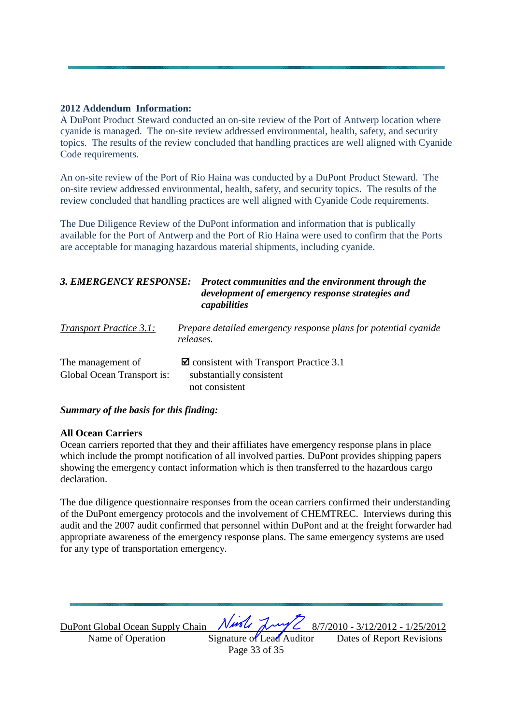#### **2012 Addendum Information:**

A DuPont Product Steward conducted an on-site review of the Port of Antwerp location where cyanide is managed. The on-site review addressed environmental, health, safety, and security topics. The results of the review concluded that handling practices are well aligned with Cyanide Code requirements.

An on-site review of the Port of Rio Haina was conducted by a DuPont Product Steward. The on-site review addressed environmental, health, safety, and security topics. The results of the review concluded that handling practices are well aligned with Cyanide Code requirements.

The Due Diligence Review of the DuPont information and information that is publically available for the Port of Antwerp and the Port of Rio Haina were used to confirm that the Ports are acceptable for managing hazardous material shipments, including cyanide.

| <b>3. EMERGENCY RESPONSE:</b>                   | Protect communities and the environment through the<br>development of emergency response strategies and<br>capabilities |
|-------------------------------------------------|-------------------------------------------------------------------------------------------------------------------------|
| <b>Transport Practice 3.1:</b>                  | Prepare detailed emergency response plans for potential cyanide<br>releases.                                            |
| The management of<br>Global Ocean Transport is: | $\blacksquare$ consistent with Transport Practice 3.1<br>substantially consistent<br>not consistent                     |

#### *Summary of the basis for this finding:*

#### **All Ocean Carriers**

Ocean carriers reported that they and their affiliates have emergency response plans in place which include the prompt notification of all involved parties. DuPont provides shipping papers showing the emergency contact information which is then transferred to the hazardous cargo declaration.

The due diligence questionnaire responses from the ocean carriers confirmed their understanding of the DuPont emergency protocols and the involvement of CHEMTREC. Interviews during this audit and the 2007 audit confirmed that personnel within DuPont and at the freight forwarder had appropriate awareness of the emergency response plans. The same emergency systems are used for any type of transportation emergency.

 $\frac{\text{DuPont Global Ocean Supply Chain}}{\text{Name of Operation}} \frac{\text{Nuid} \cdot \text{Muid} \cdot \text{Muid} \cdot \text{B/7/2010 - 3/12/2012 - 1/25/2012}}{\text{Name of Operation}}$ 

Name of Operation Signature of Lead Auditor Page 33 of 35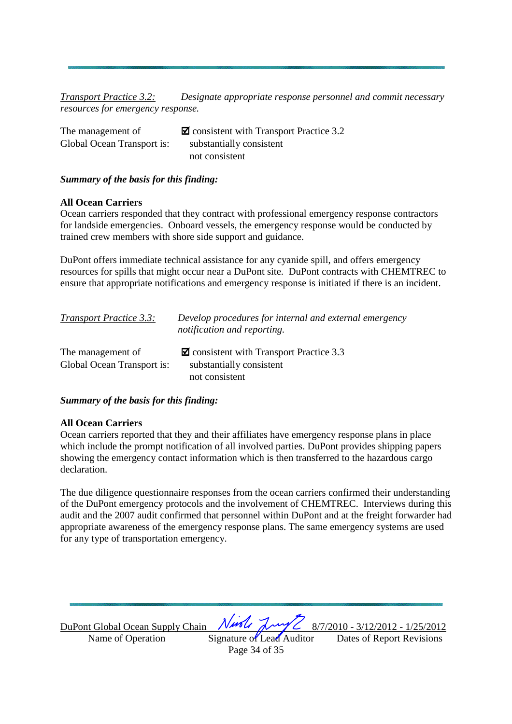*Transport Practice 3.2: Designate appropriate response personnel and commit necessary resources for emergency response.* 

| The management of          | $\blacksquare$ consistent with Transport Practice 3.2 |
|----------------------------|-------------------------------------------------------|
| Global Ocean Transport is: | substantially consistent                              |
|                            | not consistent                                        |

#### *Summary of the basis for this finding:*

#### **All Ocean Carriers**

Ocean carriers responded that they contract with professional emergency response contractors for landside emergencies. Onboard vessels, the emergency response would be conducted by trained crew members with shore side support and guidance.

DuPont offers immediate technical assistance for any cyanide spill, and offers emergency resources for spills that might occur near a DuPont site. DuPont contracts with CHEMTREC to ensure that appropriate notifications and emergency response is initiated if there is an incident.

| <b>Transport Practice 3.3:</b> | Develop procedures for internal and external emergency<br>notification and reporting. |
|--------------------------------|---------------------------------------------------------------------------------------|
| The management of              | $\blacksquare$ consistent with Transport Practice 3.3                                 |
| Global Ocean Transport is:     | substantially consistent                                                              |
|                                | not consistent                                                                        |

#### *Summary of the basis for this finding:*

#### **All Ocean Carriers**

Ocean carriers reported that they and their affiliates have emergency response plans in place which include the prompt notification of all involved parties. DuPont provides shipping papers showing the emergency contact information which is then transferred to the hazardous cargo declaration.

The due diligence questionnaire responses from the ocean carriers confirmed their understanding of the DuPont emergency protocols and the involvement of CHEMTREC. Interviews during this audit and the 2007 audit confirmed that personnel within DuPont and at the freight forwarder had appropriate awareness of the emergency response plans. The same emergency systems are used for any type of transportation emergency.

DuPont Global Ocean Supply Chain Nurse 8/7/2010 - 3/12/2012 - 1/25/2012<br>Name of Operation Signature of Lead Auditor Dates of Report Revisions

Name of Operation Signature of Lead Auditor Page 34 of 35